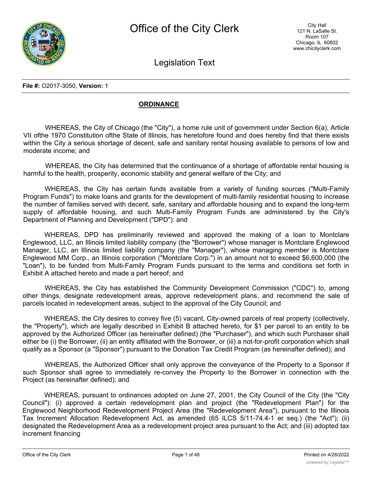

Legislation Text

**File #:** O2017-3050, **Version:** 1

## **ORDINANCE**

WHEREAS, the City of Chicago (the "City"), a home rule unit of government under Section 6(a), Article VII ofthe 1970 Constitution ofthe State of Illinois, has heretofore found and does hereby find that there exists within the City a serious shortage of decent, safe and sanitary rental housing available to persons of low and moderate income; and

WHEREAS, the City has determined that the continuance of a shortage of affordable rental housing is harmful to the health, prosperity, economic stability and general welfare of the City; and

WHEREAS, the City has certain funds available from a variety of funding sources ("Multi-Family Program Funds") to make loans and grants for the development of multi-family residential housing to increase the number of families served with decent, safe, sanitary and affordable housing and to expand the long-term supply of affordable housing, and such Multi-Family Program Funds are administered by the City's Department of Planning and Development ("DPD"): and

WHEREAS, DPD has preliminarily reviewed and approved the making of a loan to Montclare Englewood, LLC, an Illinois limited liability company (the "Borrower") whose manager is Montclare Englewood Manager, LLC, an Illinois limited liability company (the "Manager"), whose managing member is Montclare Englewood MM Corp., an Illinois corporation ("Montclare Corp.") in an amount not to exceed \$6,600,000 (the "Loan"), to be funded from Multi-Family Program Funds pursuant to the terms and conditions set forth in Exhibit A attached hereto and made a part hereof; and

WHEREAS, the City has established the Community Development Commission ("CDC") to, among other things, designate redevelopment areas, approve redevelopment plans, and recommend the sale of parcels located in redevelopment areas, subject to the approval of the City Council; and

WHEREAS, the City desires to convey five (5) vacant, City-owned parcels of real property (collectively, the "Property"), which are legally described in Exhibit B attached hereto, for \$1 per parcel to an entity to be approved by the Authorized Officer (as hereinafter defined) (the "Purchaser"), and which such Purchaser shall either be (i) the Borrower, (ii) an entity affiliated with the Borrower, or (iii) a not-for-profit corporation which shall qualify as a Sponsor (a "Sponsor") pursuant to the Donation Tax Credit Program (as hereinafter defined); and

WHEREAS, the Authorized Officer shall only approve the conveyance of the Property to a Sponsor if such Sponsor shall agree to immediately re-convey the Property to the Borrower in connection with the Project (as hereinafter defined); and

WHEREAS, pursuant to ordinances adopted on June 27, 2001, the City Council of the City (the "City Council"): (i) approved a certain redevelopment plan and project (the "Redevelopment Plan") for the Englewood Neighborhood Redevelopment Project Area (the "Redevelopment Area"), pursuant to the Illinois Tax Increment Allocation Redevelopment Act, as amended (65 ILCS 5/11-74.4-1 er seq.) (the "Act"); (ii) designated the Redevelopment Area as a redevelopment project area pursuant to the Act; and (iii) adopted tax increment financing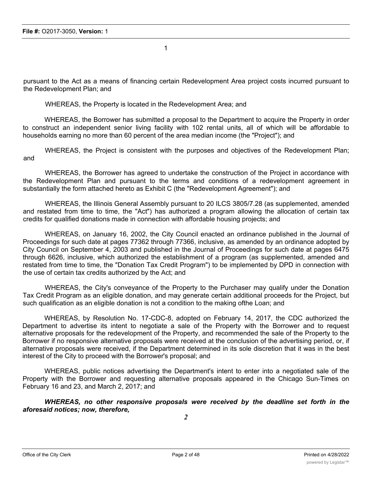pursuant to the Act as a means of financing certain Redevelopment Area project costs incurred pursuant to the Redevelopment Plan; and

WHEREAS, the Property is located in the Redevelopment Area; and

WHEREAS, the Borrower has submitted a proposal to the Department to acquire the Property in order to construct an independent senior living facility with 102 rental units, all of which will be affordable to households earning no more than 60 percent of the area median income (the "Project"); and

WHEREAS, the Project is consistent with the purposes and objectives of the Redevelopment Plan; and

WHEREAS, the Borrower has agreed to undertake the construction of the Project in accordance with the Redevelopment Plan and pursuant to the terms and conditions of a redevelopment agreement in substantially the form attached hereto as Exhibit C (the "Redevelopment Agreement"); and

WHEREAS, the Illinois General Assembly pursuant to 20 ILCS 3805/7.28 (as supplemented, amended and restated from time to time, the "Act") has authorized a program allowing the allocation of certain tax credits for qualified donations made in connection with affordable housing projects; and

WHEREAS, on January 16, 2002, the City Council enacted an ordinance published in the Journal of Proceedings for such date at pages 77362 through 77366, inclusive, as amended by an ordinance adopted by City Council on September 4, 2003 and published in the Journal of Proceedings for such date at pages 6475 through 6626, inclusive, which authorized the establishment of a program (as supplemented, amended and restated from time to time, the "Donation Tax Credit Program") to be implemented by DPD in connection with the use of certain tax credits authorized by the Act; and

WHEREAS, the City's conveyance of the Property to the Purchaser may qualify under the Donation Tax Credit Program as an eligible donation, and may generate certain additional proceeds for the Project, but such qualification as an eligible donation is not a condition to the making ofthe Loan; and

WHEREAS, by Resolution No. 17-CDC-8, adopted on February 14, 2017, the CDC authorized the Department to advertise its intent to negotiate a sale of the Property with the Borrower and to request alternative proposals for the redevelopment of the Property, and recommended the sale of the Property to the Borrower if no responsive alternative proposals were received at the conclusion of the advertising period, or, if alternative proposals were received, if the Department determined in its sole discretion that it was in the best interest of the City to proceed with the Borrower's proposal; and

WHEREAS, public notices advertising the Department's intent to enter into a negotiated sale of the Property with the Borrower and requesting alternative proposals appeared in the Chicago Sun-Times on February 16 and 23, and March 2, 2017; and

*WHEREAS, no other responsive proposals were received by the deadline set forth in the aforesaid notices; now, therefore,*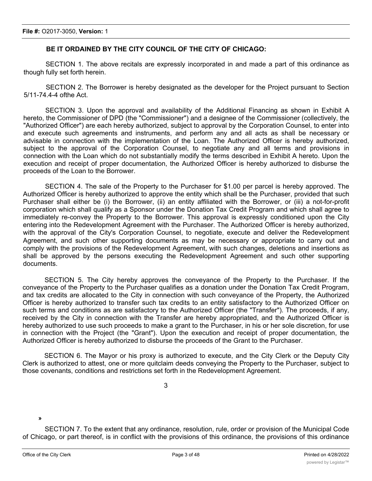## **BE IT ORDAINED BY THE CITY COUNCIL OF THE CITY OF CHICAGO:**

SECTION 1. The above recitals are expressly incorporated in and made a part of this ordinance as though fully set forth herein.

SECTION 2. The Borrower is hereby designated as the developer for the Project pursuant to Section 5/11-74.4-4 ofthe Act.

SECTION 3. Upon the approval and availability of the Additional Financing as shown in Exhibit A hereto, the Commissioner of DPD (the "Commissioner") and a designee of the Commissioner (collectively, the "Authorized Officer") are each hereby authorized, subject to approval by the Corporation Counsel, to enter into and execute such agreements and instruments, and perform any and all acts as shall be necessary or advisable in connection with the implementation of the Loan. The Authorized Officer is hereby authorized, subject to the approval of the Corporation Counsel, to negotiate any and all terms and provisions in connection with the Loan which do not substantially modify the terms described in Exhibit A hereto. Upon the execution and receipt of proper documentation, the Authorized Officer is hereby authorized to disburse the proceeds of the Loan to the Borrower.

SECTION 4. The sale of the Property to the Purchaser for \$1.00 per parcel is hereby approved. The Authorized Officer is hereby authorized to approve the entity which shall be the Purchaser, provided that such Purchaser shall either be (i) the Borrower, (ii) an entity affiliated with the Borrower, or (iii) a not-for-profit corporation which shall qualify as a Sponsor under the Donation Tax Credit Program and which shall agree to immediately re-convey the Property to the Borrower. This approval is expressly conditioned upon the City entering into the Redevelopment Agreement with the Purchaser. The Authorized Officer is hereby authorized, with the approval of the City's Corporation Counsel, to negotiate, execute and deliver the Redevelopment Agreement, and such other supporting documents as may be necessary or appropriate to carry out and comply with the provisions of the Redevelopment Agreement, with such changes, deletions and insertions as shall be approved by the persons executing the Redevelopment Agreement and such other supporting documents.

SECTION 5. The City hereby approves the conveyance of the Property to the Purchaser. If the conveyance of the Property to the Purchaser qualifies as a donation under the Donation Tax Credit Program, and tax credits are allocated to the City in connection with such conveyance of the Property, the Authorized Officer is hereby authorized to transfer such tax credits to an entity satisfactory to the Authorized Officer on such terms and conditions as are satisfactory to the Authorized Officer (the "Transfer"). The proceeds, if any, received by the City in connection with the Transfer are hereby appropriated, and the Authorized Officer is hereby authorized to use such proceeds to make a grant to the Purchaser, in his or her sole discretion, for use in connection with the Project (the "Grant"). Upon the execution and receipt of proper documentation, the Authorized Officer is hereby authorized to disburse the proceeds of the Grant to the Purchaser.

SECTION 6. The Mayor or his proxy is authorized to execute, and the City Clerk or the Deputy City Clerk is authorized to attest, one or more quitclaim deeds conveying the Property to the Purchaser, subject to those covenants, conditions and restrictions set forth in the Redevelopment Agreement.

3

**»**

SECTION 7. To the extent that any ordinance, resolution, rule, order or provision of the Municipal Code of Chicago, or part thereof, is in conflict with the provisions of this ordinance, the provisions of this ordinance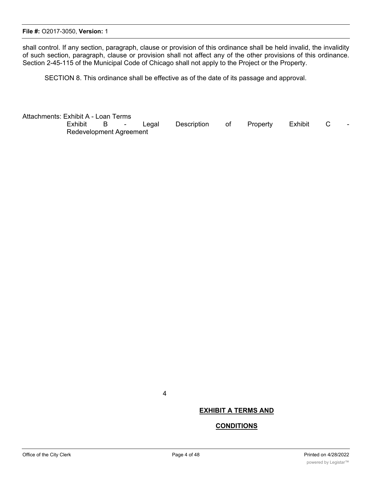shall control. If any section, paragraph, clause or provision of this ordinance shall be held invalid, the invalidity of such section, paragraph, clause or provision shall not affect any of the other provisions of this ordinance. Section 2-45-115 of the Municipal Code of Chicago shall not apply to the Project or the Property.

SECTION 8. This ordinance shall be effective as of the date of its passage and approval.

Attachments: Exhibit A - Loan Terms Exhibit B - Legal Description of Property Exhibit C Redevelopment Agreement

4

## **EXHIBIT A TERMS AND**

#### **CONDITIONS**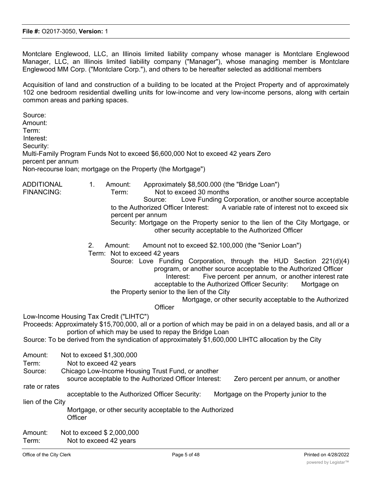Montclare Englewood, LLC, an Illinois limited liability company whose manager is Montclare Englewood Manager, LLC, an Illinois limited liability company ("Manager"), whose managing member is Montclare Englewood MM Corp. ("Montclare Corp."), and others to be hereafter selected as additional members

Acquisition of land and construction of a building to be located at the Project Property and of approximately 102 one bedroom residential dwelling units for low-income and very low-income persons, along with certain common areas and parking spaces.

Source: Amount: Term: Interest: Security: Multi-Family Program Funds Not to exceed \$6,600,000 Not to exceed 42 years Zero percent per annum Non-recourse loan; mortgage on the Property (the Mortgage") ADDITIONAL 1. Amount: Approximately \$8,500.000 (the "Bridge Loan") FINANCING: Term: Not to exceed 30 months Source: Love Funding Corporation, or another source acceptable to the Authorized Officer Interest: A variable rate of interest not to exceed six percent per annum Security: Mortgage on the Property senior to the lien of the City Mortgage, or other security acceptable to the Authorized Officer 2. Amount: Amount not to exceed \$2.100,000 (the "Senior Loan") Term: Not to exceed 42 years Source: Love Funding Corporation, through the HUD Section 221(d)(4) program, or another source acceptable to the Authorized Officer Interest: Five percent per annum, or another interest rate acceptable to the Authorized Officer Security: Mortgage on the Property senior to the lien of the City Mortgage, or other security acceptable to the Authorized **Officer** Low-Income Housing Tax Credit ("LIHTC") Proceeds: Approximately \$15,700,000, all or a portion of which may be paid in on a delayed basis, and all or a portion of which may be used to repay the Bridge Loan Source: To be derived from the syndication of approximately \$1,600,000 LIHTC allocation by the City Amount: Not to exceed \$1,300,000 Term: Not to exceed 42 years Source: Chicago Low-Income Housing Trust Fund, or another source acceptable to the Authorized Officer Interest: Zero percent per annum, or another rate or rates acceptable to the Authorized Officer Security: Mortgage on the Property junior to the lien of the City Mortgage, or other security acceptable to the Authorized **Officer** 

Amount: Not to exceed \$ 2,000,000 Term: Not to exceed 42 years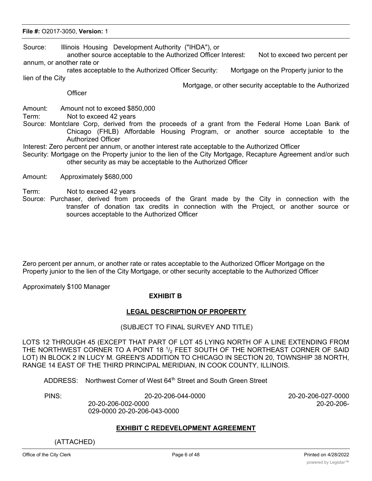## **File #:** O2017-3050, **Version:** 1

Source: Illinois Housing Development Authority ("IHDA"), or

another source acceptable to the Authorized Officer Interest: Not to exceed two percent per annum, or another rate or

rates acceptable to the Authorized Officer Security: Mortgage on the Property junior to the lien of the City

**Officer** 

Mortgage, or other security acceptable to the Authorized

Amount: Amount not to exceed \$850,000

Term: Not to exceed 42 years

- Source: Montclare Corp, derived from the proceeds of a grant from the Federal Home Loan Bank of Chicago (FHLB) Affordable Housing Program, or another source acceptable to the Authorized Officer
- Interest: Zero percent per annum, or another interest rate acceptable to the Authorized Officer
- Security: Mortgage on the Property junior to the lien of the City Mortgage, Recapture Agreement and/or such other security as may be acceptable to the Authorized Officer
- Amount: Approximately \$680,000
- Term: Not to exceed 42 years
- Source: Purchaser, derived from proceeds of the Grant made by the City in connection with the transfer of donation tax credits in connection with the Project, or another source or sources acceptable to the Authorized Officer

Zero percent per annum, or another rate or rates acceptable to the Authorized Officer Mortgage on the Property junior to the lien of the City Mortgage, or other security acceptable to the Authorized Officer

Approximately \$100 Manager

#### **EXHIBIT B**

#### **LEGAL DESCRIPTION OF PROPERTY**

#### (SUBJECT TO FINAL SURVEY AND TITLE)

LOTS 12 THROUGH 45 (EXCEPT THAT PART OF LOT 45 LYING NORTH OF A LINE EXTENDING FROM THE NORTHWEST CORNER TO A POINT 18  $1/2$  FEET SOUTH OF THE NORTHEAST CORNER OF SAID LOT) IN BLOCK 2 IN LUCY M. GREEN'S ADDITION TO CHICAGO IN SECTION 20, TOWNSHIP 38 NORTH, RANGE 14 EAST OF THE THIRD PRINCIPAL MERIDIAN, IN COOK COUNTY, ILLINOIS.

ADDRESS: Northwest Corner of West 64<sup>th</sup> Street and South Green Street

029-0000 20-20-206-043-0000

PINS: 20-20-206-044-0000 20-20-206-027-0000

20-20-206-002-0000 20-20-206-

#### **EXHIBIT C REDEVELOPMENT AGREEMENT**

(ATTACHED)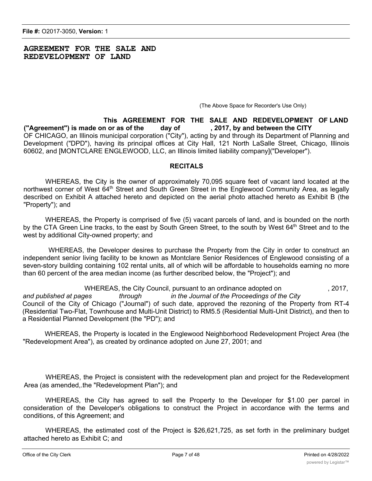## **AGREEMENT FOR THE SALE AND REDEVELOPMENT OF LAND**

(The Above Space for Recorder's Use Only)

**This AGREEMENT FOR THE SALE AND REDEVELOPMENT OF LAND ("Agreement") is made on or as of the day of , 2017, by and between the CITY** OF CHICAGO, an Illinois municipal corporation ("City"), acting by and through its Department of Planning and Development ("DPD"), having its principal offices at City Hall, 121 North LaSalle Street, Chicago, Illinois 60602, and [MONTCLARE ENGLEWOOD, LLC, an Illinois limited liability company]("Developer").

#### **RECITALS**

WHEREAS, the City is the owner of approximately 70,095 square feet of vacant land located at the northwest corner of West 64<sup>th</sup> Street and South Green Street in the Englewood Community Area, as legally described on Exhibit A attached hereto and depicted on the aerial photo attached hereto as Exhibit B (the "Property"); and

WHEREAS, the Property is comprised of five (5) vacant parcels of land, and is bounded on the north by the CTA Green Line tracks, to the east by South Green Street, to the south by West 64<sup>th</sup> Street and to the west by additional City-owned property; and

WHEREAS, the Developer desires to purchase the Property from the City in order to construct an independent senior living facility to be known as Montclare Senior Residences of Englewood consisting of a seven-story building containing 102 rental units, all of which will be affordable to households earning no more than 60 percent of the area median income (as further described below, the "Project"); and

WHEREAS, the City Council, pursuant to an ordinance adopted on  $\sim$ , 2017, *and published at pages through in the Journal of the Proceedings of the City* Council of the City of Chicago ("Journal") of such date, approved the rezoning of the Property from RT-4 (Residential Two-Flat, Townhouse and Multi-Unit District) to RM5.5 (Residential Multi-Unit District), and then to a Residential Planned Development (the "PD"); and

WHEREAS, the Property is located in the Englewood Neighborhood Redevelopment Project Area (the "Redevelopment Area"), as created by ordinance adopted on June 27, 2001; and

WHEREAS, the Project is consistent with the redevelopment plan and project for the Redevelopment Area (as amended,.the "Redevelopment Plan"); and

WHEREAS, the City has agreed to sell the Property to the Developer for \$1.00 per parcel in consideration of the Developer's obligations to construct the Project in accordance with the terms and conditions, of this Agreement; and

WHEREAS, the estimated cost of the Project is \$26,621,725, as set forth in the preliminary budget attached hereto as Exhibit C; and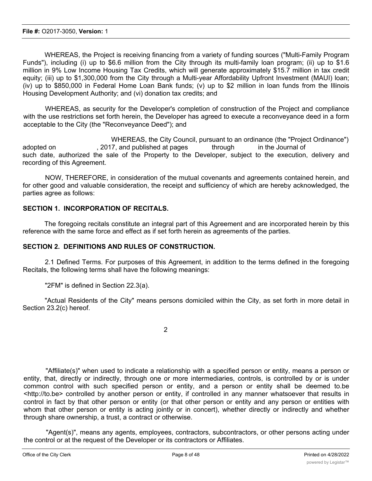WHEREAS, the Project is receiving financing from a variety of funding sources ("Multi-Family Program Funds"), including (i) up to \$6.6 million from the City through its multi-family loan program; (ii) up to \$1.6 million in 9% Low Income Housing Tax Credits, which will generate approximately \$15.7 million in tax credit equity; (iii) up to \$1,300,000 from the City through a Multi-year Affordability Upfront Investment (MAUI) loan; (iv) up to \$850,000 in Federal Home Loan Bank funds; (v) up to \$2 million in loan funds from the Illinois Housing Development Authority; and (vi) donation tax credits; and

WHEREAS, as security for the Developer's completion of construction of the Project and compliance with the use restrictions set forth herein, the Developer has agreed to execute a reconveyance deed in a form acceptable to the City (the "Reconveyance Deed"); and

WHEREAS, the City Council, pursuant to an ordinance (the "Project Ordinance") adopted on **the substitute on the set of the Souties** adopted on the Journal of such date, authorized the sale of the Property to the Developer, subject to the execution, delivery and recording of this Agreement.

NOW, THEREFORE, in consideration of the mutual covenants and agreements contained herein, and for other good and valuable consideration, the receipt and sufficiency of which are hereby acknowledged, the parties agree as follows:

## **SECTION 1. INCORPORATION OF RECITALS.**

The foregoing recitals constitute an integral part of this Agreement and are incorporated herein by this reference with the same force and effect as if set forth herein as agreements of the parties.

## **SECTION 2. DEFINITIONS AND RULES OF CONSTRUCTION.**

2.1 Defined Terms. For purposes of this Agreement, in addition to the terms defined in the foregoing Recitals, the following terms shall have the following meanings:

"2FM" is defined in Section 22.3(a).

"Actual Residents of the City" means persons domiciled within the City, as set forth in more detail in Section 23.2(c) hereof.

2

"Affiliate(s)" when used to indicate a relationship with a specified person or entity, means a person or entity, that, directly or indirectly, through one or more intermediaries, controls, is controlled by or is under common control with such specified person or entity, and a person or entity shall be deemed to.be <http://to.be> controlled by another person or entity, if controlled in any manner whatsoever that results in control in fact by that other person or entity (or that other person or entity and any person or entities with whom that other person or entity is acting jointly or in concert), whether directly or indirectly and whether through share ownership, a trust, a contract or otherwise.

"Agent(s)", means any agents, employees, contractors, subcontractors, or other persons acting under the control or at the request of the Developer or its contractors or Affiliates.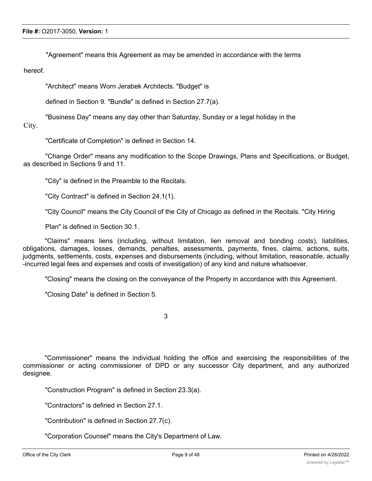"Agreement" means this Agreement as may be amended in accordance with the terms

hereof.

"Architect" means Worn Jerabek Architects. "Budget" is

defined in Section 9. "Bundle" is defined in Section 27.7(a).

"Business Day" means any day other than Saturday, Sunday or a legal holiday in the

City.

"Certificate of Completion" is defined in Section 14.

"Change Order" means any modification to the Scope Drawings, Plans and Specifications, or Budget, as described in Sections 9 and 11.

"City" is defined in the Preamble to the Recitals.

"City Contract" is defined in Section 24.1(1).

"City Council" means the City Council of the City of Chicago as defined in the Recitals. "City Hiring

Plan" is defined in Section 30.1.

"Claims" means liens (including, without limitation, lien removal and bonding costs), liabilities, obligations, damages, losses, demands, penalties, assessments, payments, fines, claims, actions, suits, judgments, settlements, costs, expenses and disbursements (including, without limitation, reasonable, actually -incurred legal fees and expenses and costs of investigation) of any kind and nature whatsoever.

"Closing" means the closing on the conveyance of the Property in accordance with this Agreement.

"Closing Date" is defined in Section 5.

3

"Commissioner" means the individual holding the office and exercising the responsibilities of the commissioner or acting commissioner of DPD or any successor City department, and any authorized designee.

"Construction Program" is defined in Section 23.3(a).

"Contractors" is defined in Section 27.1.

"Contribution" is defined in Section 27.7(c).

"Corporation Counsel" means the City's Department of Law.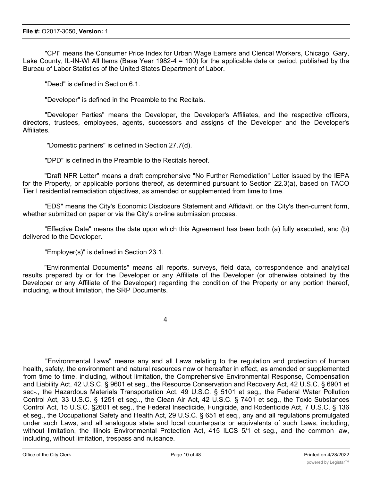"CPI" means the Consumer Price Index for Urban Wage Earners and Clerical Workers, Chicago, Gary, Lake County, IL-IN-WI All Items (Base Year 1982-4 = 100) for the applicable date or period, published by the Bureau of Labor Statistics of the United States Department of Labor.

"Deed" is defined in Section 6.1.

"Developer" is defined in the Preamble to the Recitals.

"Developer Parties" means the Developer, the Developer's Affiliates, and the respective officers, directors, trustees, employees, agents, successors and assigns of the Developer and the Developer's Affiliates.

"Domestic partners" is defined in Section 27.7(d).

"DPD" is defined in the Preamble to the Recitals hereof.

"Draft NFR Letter" means a draft comprehensive "No Further Remediation" Letter issued by the IEPA for the Property, or applicable portions thereof, as determined pursuant to Section 22.3(a), based on TACO Tier I residential remediation objectives, as amended or supplemented from time to time.

"EDS" means the City's Economic Disclosure Statement and Affidavit, on the City's then-current form, whether submitted on paper or via the City's on-line submission process.

"Effective Date" means the date upon which this Agreement has been both (a) fully executed, and (b) delivered to the Developer.

"Employer(s)" is defined in Section 23.1.

"Environmental Documents" means all reports, surveys, field data, correspondence and analytical results prepared by or for the Developer or any Affiliate of the Developer (or otherwise obtained by the Developer or any Affiliate of the Developer) regarding the condition of the Property or any portion thereof, including, without limitation, the SRP Documents.

4

"Environmental Laws" means any and all Laws relating to the regulation and protection of human health, safety, the environment and natural resources now or hereafter in effect, as amended or supplemented from time to time, including, without limitation, the Comprehensive Environmental Response, Compensation and Liability Act, 42 U.S.C. § 9601 et seg., the Resource Conservation and Recovery Act, 42 U.S.C. § 6901 et sec-., the Hazardous Materials Transportation Act, 49 U.S.C. § 5101 et seg,, the Federal Water Pollution Control Act, 33 U.S.C. § 1251 et seg.., the Clean Air Act, 42 U.S.C. § 7401 et seg., the Toxic Substances Control Act, 15 U.S.C. §2601 et seg., the Federal Insecticide, Fungicide, and Rodenticide Act, 7 U.S.C. § 136 et seg., the Occupational Safety and Health Act, 29 U.S.C. § 651 et seq., any and all regulations promulgated under such Laws, and all analogous state and local counterparts or equivalents of such Laws, including, without limitation, the Illinois Environmental Protection Act, 415 ILCS 5/1 et seg., and the common law, including, without limitation, trespass and nuisance.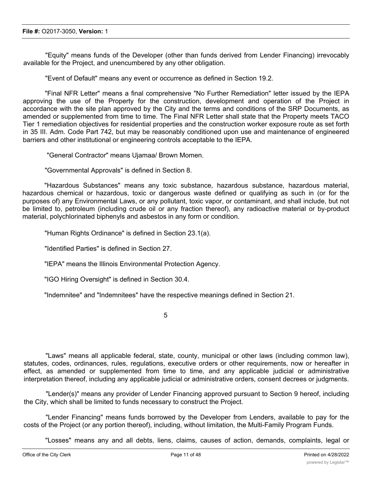"Equity" means funds of the Developer (other than funds derived from Lender Financing) irrevocably available for the Project, and unencumbered by any other obligation.

"Event of Default" means any event or occurrence as defined in Section 19.2.

"Final NFR Letter" means a final comprehensive "No Further Remediation" letter issued by the IEPA approving the use of the Property for the construction, development and operation of the Project in accordance with the site plan approved by the City and the terms and conditions of the SRP Documents, as amended or supplemented from time to time. The Final NFR Letter shall state that the Property meets TACO Tier 1 remediation objectives for residential properties and the construction worker exposure route as set forth in 35 III. Adm. Code Part 742, but may be reasonably conditioned upon use and maintenance of engineered barriers and other institutional or engineering controls acceptable to the IEPA.

"General Contractor" means Ujamaa/ Brown Momen.

"Governmental Approvals" is defined in Section 8.

"Hazardous Substances" means any toxic substance, hazardous substance, hazardous material, hazardous chemical or hazardous, toxic or dangerous waste defined or qualifying as such in (or for the purposes of) any Environmental Laws, or any pollutant, toxic vapor, or contaminant, and shall include, but not be limited to, petroleum (including crude oil or any fraction thereof), any radioactive material or by-product material, polychlorinated biphenyls and asbestos in any form or condition.

"Human Rights Ordinance" is defined in Section 23.1(a).

"Identified Parties" is defined in Section 27.

"IEPA" means the Illinois Environmental Protection Agency.

"IGO Hiring Oversight" is defined in Section 30.4.

"Indemnitee" and "Indemnitees" have the respective meanings defined in Section 21.

5

"Laws" means all applicable federal, state, county, municipal or other laws (including common law), statutes, codes, ordinances, rules, regulations, executive orders or other requirements, now or hereafter in effect, as amended or supplemented from time to time, and any applicable judicial or administrative interpretation thereof, including any applicable judicial or administrative orders, consent decrees or judgments.

"Lender(s)" means any provider of Lender Financing approved pursuant to Section 9 hereof, including the City, which shall be limited to funds necessary to construct the Project.

"Lender Financing" means funds borrowed by the Developer from Lenders, available to pay for the costs of the Project (or any portion thereof), including, without limitation, the Multi-Family Program Funds.

"Losses" means any and all debts, liens, claims, causes of action, demands, complaints, legal or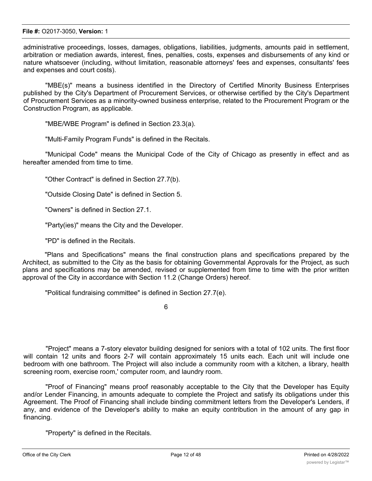administrative proceedings, losses, damages, obligations, liabilities, judgments, amounts paid in settlement, arbitration or mediation awards, interest, fines, penalties, costs, expenses and disbursements of any kind or nature whatsoever (including, without limitation, reasonable attorneys' fees and expenses, consultants' fees and expenses and court costs).

"MBE(s)" means a business identified in the Directory of Certified Minority Business Enterprises published by the City's Department of Procurement Services, or otherwise certified by the City's Department of Procurement Services as a minority-owned business enterprise, related to the Procurement Program or the Construction Program, as applicable.

"MBE/WBE Program" is defined in Section 23.3(a).

"Multi-Family Program Funds" is defined in the Recitals.

"Municipal Code" means the Municipal Code of the City of Chicago as presently in effect and as hereafter amended from time to time.

"Other Contract" is defined in Section 27.7(b).

"Outside Closing Date" is defined in Section 5.

"Owners" is defined in Section 27.1.

"Party(ies)" means the City and the Developer.

"PD" is defined in the Recitals.

"Plans and Specifications" means the final construction plans and specifications prepared by the Architect, as submitted to the City as the basis for obtaining Governmental Approvals for the Project, as such plans and specifications may be amended, revised or supplemented from time to time with the prior written approval of the City in accordance with Section 11.2 (Change Orders) hereof.

"Political fundraising committee" is defined in Section 27.7(e).

6

"Project" means a 7-story elevator building designed for seniors with a total of 102 units. The first floor will contain 12 units and floors 2-7 will contain approximately 15 units each. Each unit will include one bedroom with one bathroom. The Project will also include a community room with a kitchen, a library, health screening room, exercise room,' computer room, and laundry room.

"Proof of Financing" means proof reasonably acceptable to the City that the Developer has Equity and/or Lender Financing, in amounts adequate to complete the Project and satisfy its obligations under this Agreement. The Proof of Financing shall include binding commitment letters from the Developer's Lenders, if any, and evidence of the Developer's ability to make an equity contribution in the amount of any gap in financing.

"Property" is defined in the Recitals.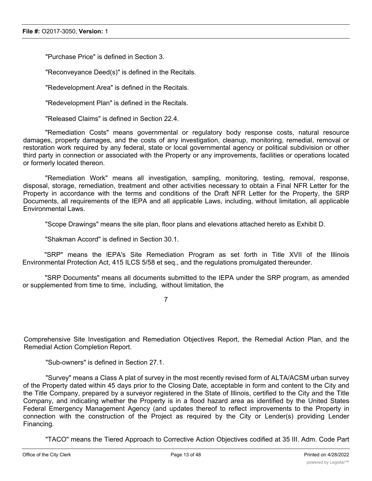"Purchase Price" is defined in Section 3.

"Reconveyance Deed(s)" is defined in the Recitals.

"Redevelopment Area" is defined in the Recitals.

"Redevelopment Plan" is defined in the Recitals.

"Released Claims" is defined in Section 22.4.

"Remediation Costs" means governmental or regulatory body response costs, natural resource damages, property damages, and the costs of any investigation, cleanup, monitoring, remedial, removal or restoration work required by any federal, state or local governmental agency or political subdivision or other third party in connection or associated with the Property or any improvements, facilities or operations located or formerly located thereon.

"Remediation Work" means all investigation, sampling, monitoring, testing, removal, response, disposal, storage, remediation, treatment and other activities necessary to obtain a Final NFR Letter for the Property in accordance with the terms and conditions of the Draft NFR Letter for the Property, the SRP Documents, all requirements of the IEPA and all applicable Laws, including, without limitation, all applicable Environmental Laws.

"Scope Drawings" means the site plan, floor plans and elevations attached hereto as Exhibit D.

"Shakman Accord" is defined in Section 30.1.

"SRP" means the lEPA's Site Remediation Program as set forth in Title XVII of the Illinois Environmental Protection Act, 415 ILCS 5/58 et seq., and the regulations promulgated thereunder.

"SRP Documents" means all documents submitted to the IEPA under the SRP program, as amended or supplemented from time to time, including, without limitation, the

7

Comprehensive Site Investigation and Remediation Objectives Report, the Remedial Action Plan, and the Remedial Action Completion Report.

"Sub-owners" is defined in Section 27.1.

"Survey" means a Class A plat of survey in the most recently revised form of ALTA/ACSM urban survey of the Property dated within 45 days prior to the Closing Date, acceptable in form and content to the City and the Title Company, prepared by a surveyor registered in the State of Illinois, certified to the City and the Title Company, and indicating whether the Property is in a flood hazard area as identified by the United States Federal Emergency Management Agency (and updates thereof to reflect improvements to the Property in connection with the construction of the Project as required by the City or Lender(s) providing Lender Financing.

"TACO" means the Tiered Approach to Corrective Action Objectives codified at 35 III. Adm. Code Part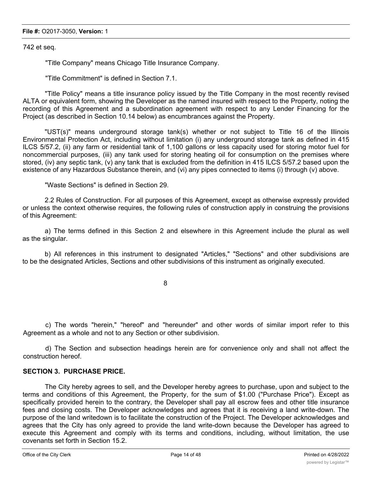742 et seq.

"Title Company" means Chicago Title Insurance Company.

"Title Commitment" is defined in Section 7.1.

"Title Policy" means a title insurance policy issued by the Title Company in the most recently revised ALTA or equivalent form, showing the Developer as the named insured with respect to the Property, noting the recording of this Agreement and a subordination agreement with respect to any Lender Financing for the Project (as described in Section 10.14 below) as encumbrances against the Property.

"UST(s)" means underground storage tank(s) whether or not subject to Title 16 of the Illinois Environmental Protection Act, including without limitation (i) any underground storage tank as defined in 415 ILCS 5/57.2, (ii) any farm or residential tank of 1,100 gallons or less capacity used for storing motor fuel for noncommercial purposes, (iii) any tank used for storing heating oil for consumption on the premises where stored, (iv) any septic tank, (v) any tank that is excluded from the definition in 415 ILCS 5/57.2 based upon the existence of any Hazardous Substance therein, and (vi) any pipes connected to items (i) through (v) above.

"Waste Sections" is defined in Section 29.

2.2 Rules of Construction. For all purposes of this Agreement, except as otherwise expressly provided or unless the context otherwise requires, the following rules of construction apply in construing the provisions of this Agreement:

a) The terms defined in this Section 2 and elsewhere in this Agreement include the plural as well as the singular.

b) All references in this instrument to designated "Articles," "Sections" and other subdivisions are to be the designated Articles, Sections and other subdivisions of this instrument as originally executed.

8

c) The words "herein," "hereof" and "hereunder" and other words of similar import refer to this Agreement as a whole and not to any Section or other subdivision.

d) The Section and subsection headings herein are for convenience only and shall not affect the construction hereof.

## **SECTION 3. PURCHASE PRICE.**

The City hereby agrees to sell, and the Developer hereby agrees to purchase, upon and subject to the terms and conditions of this Agreement, the Property, for the sum of \$1.00 ("Purchase Price"). Except as specifically provided herein to the contrary, the Developer shall pay all escrow fees and other title insurance fees and closing costs. The Developer acknowledges and agrees that it is receiving a land write-down. The purpose of the land writedown is to facilitate the construction of the Project. The Developer acknowledges and agrees that the City has only agreed to provide the land write-down because the Developer has agreed to execute this Agreement and comply with its terms and conditions, including, without limitation, the use covenants set forth in Section 15.2.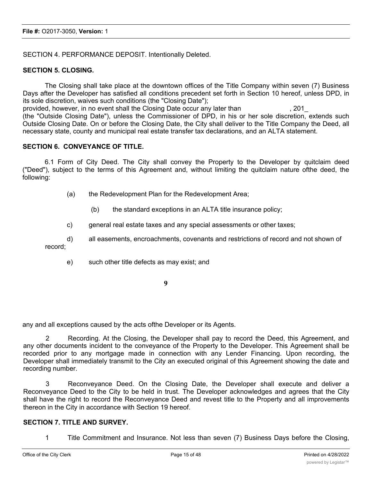## SECTION 4. PERFORMANCE DEPOSIT. Intentionally Deleted.

## **SECTION 5. CLOSING.**

The Closing shall take place at the downtown offices of the Title Company within seven (7) Business Days after the Developer has satisfied all conditions precedent set forth in Section 10 hereof, unless DPD, in its sole discretion, waives such conditions (the "Closing Date"); provided, however, in no event shall the Closing Date occur any later than , 201\_

(the "Outside Closing Date"), unless the Commissioner of DPD, in his or her sole discretion, extends such Outside Closing Date. On or before the Closing Date, the City shall deliver to the Title Company the Deed, all necessary state, county and municipal real estate transfer tax declarations, and an ALTA statement.

## **SECTION 6. CONVEYANCE OF TITLE.**

6.1 Form of City Deed. The City shall convey the Property to the Developer by quitclaim deed ("Deed"), subject to the terms of this Agreement and, without limiting the quitclaim nature ofthe deed, the following:

- (a) the Redevelopment Plan for the Redevelopment Area;
	- (b) the standard exceptions in an ALTA title insurance policy;
- c) general real estate taxes and any special assessments or other taxes;
- d) all easements, encroachments, covenants and restrictions of record and not shown of record;
	- e) such other title defects as may exist; and

**9**

any and all exceptions caused by the acts ofthe Developer or its Agents.

2 Recording. At the Closing, the Developer shall pay to record the Deed, this Agreement, and any other documents incident to the conveyance of the Property to the Developer. This Agreement shall be recorded prior to any mortgage made in connection with any Lender Financing. Upon recording, the Developer shall immediately transmit to the City an executed original of this Agreement showing the date and recording number.

3 Reconveyance Deed. On the Closing Date, the Developer shall execute and deliver a Reconveyance Deed to the City to be held in trust. The Developer acknowledges and agrees that the City shall have the right to record the Reconveyance Deed and revest title to the Property and all improvements thereon in the City in accordance with Section 19 hereof.

#### **SECTION 7. TITLE AND SURVEY.**

1 Title Commitment and Insurance. Not less than seven (7) Business Days before the Closing,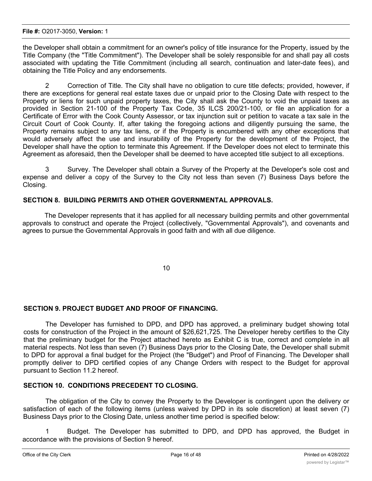the Developer shall obtain a commitment for an owner's policy of title insurance for the Property, issued by the Title Company (the "Title Commitment"). The Developer shall be solely responsible for and shall pay all costs associated with updating the Title Commitment (including all search, continuation and later-date fees), and obtaining the Title Policy and any endorsements.

2 Correction of Title. The City shall have no obligation to cure title defects; provided, however, if there are exceptions for general real estate taxes due or unpaid prior to the Closing Date with respect to the Property or liens for such unpaid property taxes, the City shall ask the County to void the unpaid taxes as provided in Section 21-100 of the Property Tax Code, 35 ILCS 200/21-100, or file an application for a Certificate of Error with the Cook County Assessor, or tax injunction suit or petition to vacate a tax sale in the Circuit Court of Cook County. If, after taking the foregoing actions and diligently pursuing the same, the Property remains subject to any tax liens, or if the Property is encumbered with any other exceptions that would adversely affect the use and insurability of the Property for the development of the Project, the Developer shall have the option to terminate this Agreement. If the Developer does not elect to terminate this Agreement as aforesaid, then the Developer shall be deemed to have accepted title subject to all exceptions.

3 Survey. The Developer shall obtain a Survey of the Property at the Developer's sole cost and expense and deliver a copy of the Survey to the City not less than seven (7) Business Days before the Closing.

## **SECTION 8. BUILDING PERMITS AND OTHER GOVERNMENTAL APPROVALS.**

The Developer represents that it has applied for all necessary building permits and other governmental approvals to construct and operate the Project (collectively, "Governmental Approvals"), and covenants and agrees to pursue the Governmental Approvals in good faith and with all due diligence.

10

## **SECTION 9. PROJECT BUDGET AND PROOF OF FINANCING.**

The Developer has furnished to DPD, and DPD has approved, a preliminary budget showing total costs for construction of the Project in the amount of \$26,621,725. The Developer hereby certifies to the City that the preliminary budget for the Project attached hereto as Exhibit C is true, correct and complete in all material respects. Not less than seven (7) Business Days prior to the Closing Date, the Developer shall submit to DPD for approval a final budget for the Project (the "Budget") and Proof of Financing. The Developer shall promptly deliver to DPD certified copies of any Change Orders with respect to the Budget for approval pursuant to Section 11.2 hereof.

## **SECTION 10. CONDITIONS PRECEDENT TO CLOSING.**

The obligation of the City to convey the Property to the Developer is contingent upon the delivery or satisfaction of each of the following items (unless waived by DPD in its sole discretion) at least seven (7) Business Days prior to the Closing Date, unless another time period is specified below:

1 Budget. The Developer has submitted to DPD, and DPD has approved, the Budget in accordance with the provisions of Section 9 hereof.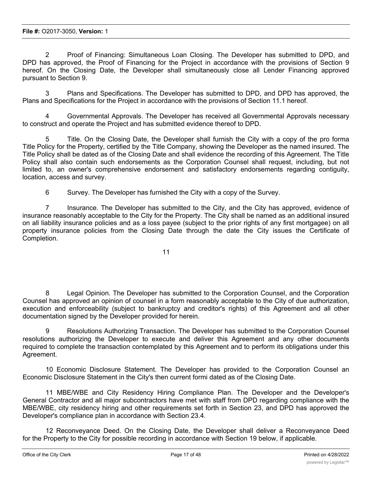2 Proof of Financing: Simultaneous Loan Closing. The Developer has submitted to DPD, and DPD has approved, the Proof of Financing for the Project in accordance with the provisions of Section 9 hereof. On the Closing Date, the Developer shall simultaneously close all Lender Financing approved pursuant to Section 9.

3 Plans and Specifications. The Developer has submitted to DPD, and DPD has approved, the Plans and Specifications for the Project in accordance with the provisions of Section 11.1 hereof.

4 Governmental Approvals. The Developer has received all Governmental Approvals necessary to construct and operate the Project and has submitted evidence thereof to DPD.

Title. On the Closing Date, the Developer shall furnish the City with a copy of the pro forma Title Policy for the Property, certified by the Title Company, showing the Developer as the named insured. The Title Policy shall be dated as of the Closing Date and shall evidence the recording of this Agreement. The Title Policy shall also contain such endorsements as the Corporation Counsel shall request, including, but not limited to, an owner's comprehensive endorsement and satisfactory endorsements regarding contiguity, location, access and survey.

6 Survey. The Developer has furnished the City with a copy of the Survey.

7 Insurance. The Developer has submitted to the City, and the City has approved, evidence of insurance reasonably acceptable to the City for the Property. The City shall be named as an additional insured on all liability insurance policies and as a loss payee (subject to the prior rights of any first mortgagee) on all property insurance policies from the Closing Date through the date the City issues the Certificate of Completion.

11

8 Legal Opinion. The Developer has submitted to the Corporation Counsel, and the Corporation Counsel has approved an opinion of counsel in a form reasonably acceptable to the City of due authorization, execution and enforceability (subject to bankruptcy and creditor's rights) of this Agreement and all other documentation signed by the Developer provided for herein.

9 Resolutions Authorizing Transaction. The Developer has submitted to the Corporation Counsel resolutions authorizing the Developer to execute and deliver this Agreement and any other documents required to complete the transaction contemplated by this Agreement and to perform its obligations under this Agreement.

10 Economic Disclosure Statement. The Developer has provided to the Corporation Counsel an Economic Disclosure Statement in the City's then current formi dated as of the Closing Date.

11 MBE/WBE and City Residency Hiring Compliance Plan. The Developer and the Developer's General Contractor and all major subcontractors have met with staff from DPD regarding compliance with the MBE/WBE, city residency hiring and other requirements set forth in Section 23, and DPD has approved the Developer's compliance plan in accordance with Section 23.4.

12 Reconveyance Deed. On the Closing Date, the Developer shall deliver a Reconveyance Deed for the Property to the City for possible recording in accordance with Section 19 below, if applicable.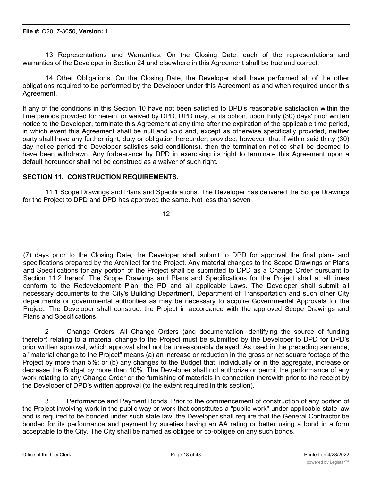13 Representations and Warranties. On the Closing Date, each of the representations and warranties of the Developer in Section 24 and elsewhere in this Agreement shall be true and correct.

14 Other Obligations. On the Closing Date, the Developer shall have performed all of the other obligations required to be performed by the Developer under this Agreement as and when required under this Agreement.

If any of the conditions in this Section 10 have not been satisfied to DPD's reasonable satisfaction within the time periods provided for herein, or waived by DPD, DPD may, at its option, upon thirty (30) days' prior written notice to the Developer, terminate this Agreement at any time after the expiration of the applicable time period, in which event this Agreement shall be null and void and, except as otherwise specifically provided, neither party shall have any further right, duty or obligation hereunder; provided, however, that if within said thirty (30) day notice period the Developer satisfies said condition(s), then the termination notice shall be deemed to have been withdrawn. Any forbearance by DPD in exercising its right to terminate this Agreement upon a default hereunder shall not be construed as a waiver of such right.

## **SECTION 11. CONSTRUCTION REQUIREMENTS.**

11.1 Scope Drawings and Plans and Specifications. The Developer has delivered the Scope Drawings for the Project to DPD and DPD has approved the same. Not less than seven

12

(7) days prior to the Closing Date, the Developer shall submit to DPD for approval the final plans and specifications prepared by the Architect for the Project. Any material changes to the Scope Drawings or Plans and Specifications for any portion of the Project shall be submitted to DPD as a Change Order pursuant to Section 11.2 hereof. The Scope Drawings and Plans and Specifications for the Project shall at all times conform to the Redevelopment Plan, the PD and all applicable Laws. The Developer shall submit all necessary documents to the City's Building Department, Department of Transportation and such other City departments or governmental authorities as may be necessary to acquire Governmental Approvals for the Project. The Developer shall construct the Project in accordance with the approved Scope Drawings and Plans and Specifications.

2 Change Orders. All Change Orders (and documentation identifying the source of funding therefor) relating to a material change to the Project must be submitted by the Developer to DPD for DPD's prior written approval, which approval shall not be unreasonably delayed. As used in the preceding sentence, a "material change to the Project" means (a) an increase or reduction in the gross or net square footage of the Project by more than 5%; or (b) any changes to the Budget that, individually or in the aggregate, increase or decrease the Budget by more than 10%. The Developer shall not authorize or permit the performance of any work relating to any Change Order or the furnishing of materials in connection therewith prior to the receipt by the Developer of DPD's written approval (to the extent required in this section).

3 Performance and Payment Bonds. Prior to the commencement of construction of any portion of the Project involving work in the public way or work that constitutes a "public work" under applicable state law and is required to be bonded under such state law, the Developer shall require that the General Contractor be bonded for its performance and payment by sureties having an AA rating or better using a bond in a form acceptable to the City. The City shall be named as obligee or co-obligee on any such bonds.

 $\mathcal{A}_\text{max}$  . The Developer cover  $\mathcal{A}_\text{max}$  reports. The Developer cover cover cover and agrees to abide by,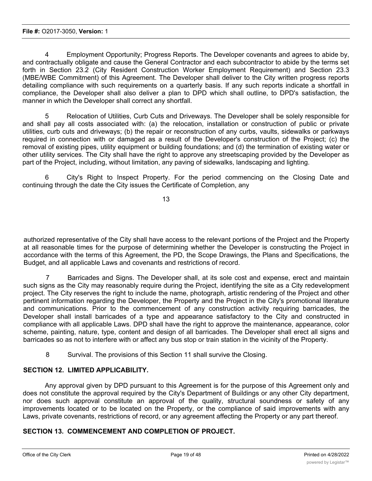4 Employment Opportunity; Progress Reports. The Developer covenants and agrees to abide by, and contractually obligate and cause the General Contractor and each subcontractor to abide by the terms set forth in Section 23.2 (City Resident Construction Worker Employment Requirement) and Section 23.3 (MBE/WBE Commitment) of this Agreement. The Developer shall deliver to the City written progress reports detailing compliance with such requirements on a quarterly basis. If any such reports indicate a shortfall in compliance, the Developer shall also deliver a plan to DPD which shall outline, to DPD's satisfaction, the manner in which the Developer shall correct any shortfall.

5 Relocation of Utilities, Curb Cuts and Driveways. The Developer shall be solely responsible for and shall pay all costs associated with: (a) the relocation, installation or construction of public or private utilities, curb cuts and driveways; (b) the repair or reconstruction of any curbs, vaults, sidewalks or parkways required in connection with or damaged as a result of the Developer's construction of the Project; (c) the removal of existing pipes, utility equipment or building foundations; and (d) the termination of existing water or other utility services. The City shall have the right to approve any streetscaping provided by the Developer as part of the Project, including, without limitation, any paving of sidewalks, landscaping and lighting.

6 City's Right to Inspect Property. For the period commencing on the Closing Date and continuing through the date the City issues the Certificate of Completion, any

13

authorized representative of the City shall have access to the relevant portions of the Project and the Property at all reasonable times for the purpose of determining whether the Developer is constructing the Project in accordance with the terms of this Agreement, the PD, the Scope Drawings, the Plans and Specifications, the Budget, and all applicable Laws and covenants and restrictions of record.

7 Barricades and Signs. The Developer shall, at its sole cost and expense, erect and maintain such signs as the City may reasonably require during the Project, identifying the site as a City redevelopment project. The City reserves the right to include the name, photograph, artistic rendering of the Project and other pertinent information regarding the Developer, the Property and the Project in the City's promotional literature and communications. Prior to the commencement of any construction activity requiring barricades, the Developer shall install barricades of a type and appearance satisfactory to the City and constructed in compliance with all applicable Laws. DPD shall have the right to approve the maintenance, appearance, color scheme, painting, nature, type, content and design of all barricades. The Developer shall erect all signs and barricades so as not to interfere with or affect any bus stop or train station in the vicinity of the Property.

8 Survival. The provisions of this Section 11 shall survive the Closing.

## **SECTION 12. LIMITED APPLICABILITY.**

Any approval given by DPD pursuant to this Agreement is for the purpose of this Agreement only and does not constitute the approval required by the City's Department of Buildings or any other City department, nor does such approval constitute an approval of the quality, structural soundness or safety of any improvements located or to be located on the Property, or the compliance of said improvements with any Laws, private covenants, restrictions of record, or any agreement affecting the Property or any part thereof.

## **SECTION 13. COMMENCEMENT AND COMPLETION OF PROJECT.**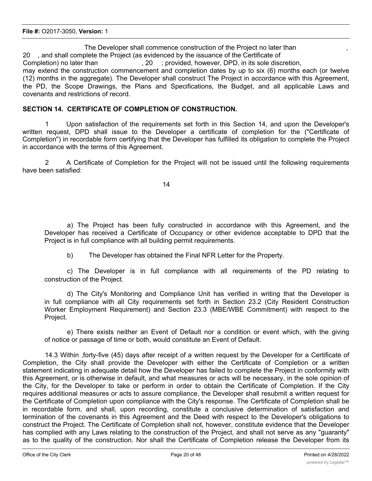The Developer shall commence construction of the Project no later than , 20 , and shall complete the Project (as evidenced by the issuance of the Certificate of Completion) no later than , 20 ; provided, however, DPD, in its sole discretion, may extend the construction commencement and completion dates by up to six (6) months each (or twelve (12) months in the aggregate). The Developer shall construct The Project in accordance with this Agreement, the PD, the Scope Drawings, the Plans and Specifications, the Budget, and all applicable Laws and covenants and restrictions of record.

## **SECTION 14. CERTIFICATE OF COMPLETION OF CONSTRUCTION.**

1 Upon satisfaction of the requirements set forth in this Section 14, and upon the Developer's written request, DPD shall issue to the Developer a certificate of completion for the ("Certificate of Completion") in recordable form certifying that the Developer has fulfilled its obligation to complete the Project in accordance with the terms of this Agreement.

2 A Certificate of Completion for the Project will not be issued until the following requirements have been satisfied:

14

a) The Project has been fully constructed in accordance with this Agreement, and the Developer has received a Certificate of Occupancy or other evidence acceptable to DPD that the Project is in full compliance with all building permit requirements.

b) The Developer has obtained the Final NFR Letter for the Property.

c) The Developer is in full compliance with all requirements of the PD relating to construction of the Project.

d) The City's Monitoring and Compliance Unit has verified in writing that the Developer is in full compliance with all City requirements set forth in Section 23.2 (City Resident Construction Worker Employment Requirement) and Section 23.3 (MBE/WBE Commitment) with respect to the Project.

e) There exists neither an Event of Default nor a condition or event which, with the giving of notice or passage of time or both, would constitute an Event of Default.

14.3 Within ,forty-five (45) days after receipt of a written request by the Developer for a Certificate of Completion, the City shall provide the Developer with either the Certificate of Completion or a written statement indicating in adequate detail how the Developer has failed to complete the Project in conformity with this Agreement, or is otherwise in default, and what measures or acts will be necessary, in the sole opinion of the City, for the Developer to take or perform in order to obtain the Certificate of Completion. If the City requires additional measures or acts to assure compliance, the Developer shall resubmit a written request for the Certificate of Completion upon compliance with the City's response. The Certificate of Completion shall be in recordable form, and shall, upon recording, constitute a conclusive determination of satisfaction and termination of the covenants in this Agreement and the Deed with respect to the Developer's obligations to construct the Project. The Certificate of Completion shall not, however, constitute evidence that the Developer has complied with any Laws relating to the construction of the Project, and shall not serve as any "guaranty" as to the quality of the construction. Nor shall the Certificate of Completion release the Developer from its obligation to comply with the other terms, conditions and conditions  $\alpha$  agreement, extent to the extent to the extent to this Agreement, extent to the extent to the extent to the extent to the extent to the extent to th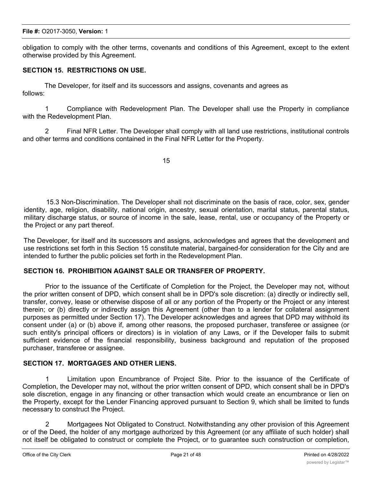obligation to comply with the other terms, covenants and conditions of this Agreement, except to the extent otherwise provided by this Agreement.

## **SECTION 15. RESTRICTIONS ON USE.**

The Developer, for itself and its successors and assigns, covenants and agrees as follows:

1 Compliance with Redevelopment Plan. The Developer shall use the Property in compliance with the Redevelopment Plan.

2 Final NFR Letter. The Developer shall comply with all land use restrictions, institutional controls and other terms and conditions contained in the Final NFR Letter for the Property.

15

15.3 Non-Discrimination. The Developer shall not discriminate on the basis of race, color, sex, gender identity, age, religion, disability, national origin, ancestry, sexual orientation, marital status, parental status, military discharge status, or source of income in the sale, lease, rental, use or occupancy of the Property or the Project or any part thereof.

The Developer, for itself and its successors and assigns, acknowledges and agrees that the development and use restrictions set forth in this Section 15 constitute material, bargained-for consideration for the City and are intended to further the public policies set forth in the Redevelopment Plan.

## **SECTION 16. PROHIBITION AGAINST SALE OR TRANSFER OF PROPERTY.**

Prior to the issuance of the Certificate of Completion for the Project, the Developer may not, without the prior written consent of DPD, which consent shall be in DPD's sole discretion: (a) directly or indirectly sell, transfer, convey, lease or otherwise dispose of all or any portion of the Property or the Project or any interest therein; or (b) directly or indirectly assign this Agreement (other than to a lender for collateral assignment purposes as permitted under Section 17). The Developer acknowledges and agrees that DPD may withhold its consent under (a) or (b) above if, among other reasons, the proposed purchaser, transferee or assignee (or such entity's principal officers or directors) is in violation of any Laws, or if the Developer fails to submit sufficient evidence of the financial responsibility, business background and reputation of the proposed purchaser, transferee or assignee.

## **SECTION 17. MORTGAGES AND OTHER LIENS.**

1 Limitation upon Encumbrance of Project Site. Prior to the issuance of the Certificate of Completion, the Developer may not, without the prior written consent of DPD, which consent shall be in DPD's sole discretion, engage in any financing or other transaction which would create an encumbrance or lien on the Property, except for the Lender Financing approved pursuant to Section 9, which shall be limited to funds necessary to construct the Project.

2 Mortgagees Not Obligated to Construct. Notwithstanding any other provision of this Agreement or of the Deed, the holder of any mortgage authorized by this Agreement (or any affiliate of such holder) shall not itself be obligated to construct or complete the Project, or to guarantee such construction or completion,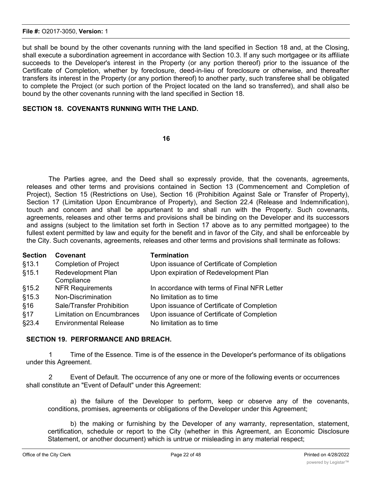#### **File #:** O2017-3050, **Version:** 1

but shall be bound by the other covenants running with the land specified in Section 18 and, at the Closing, shall execute a subordination agreement in accordance with Section 10.3. If any such mortgagee or its affiliate succeeds to the Developer's interest in the Property (or any portion thereof) prior to the issuance of the Certificate of Completion, whether by foreclosure, deed-in-lieu of foreclosure or otherwise, and thereafter transfers its interest in the Property (or any portion thereof) to another party, such transferee shall be obligated to complete the Project (or such portion of the Project located on the land so transferred), and shall also be bound by the other covenants running with the land specified in Section 18.

## **SECTION 18. COVENANTS RUNNING WITH THE LAND.**

#### **16**

The Parties agree, and the Deed shall so expressly provide, that the covenants, agreements, releases and other terms and provisions contained in Section 13 (Commencement and Completion of Project), Section 15 (Restrictions on Use), Section 16 (Prohibition Against Sale or Transfer of Property), Section 17 (Limitation Upon Encumbrance of Property), and Section 22.4 (Release and Indemnification), touch and concern and shall be appurtenant to and shall run with the Property. Such covenants, agreements, releases and other terms and provisions shall be binding on the Developer and its successors and assigns (subject to the limitation set forth in Section 17 above as to any permitted mortgagee) to the fullest extent permitted by law and equity for the benefit and in favor of the City, and shall be enforceable by the City. Such covenants, agreements, releases and other terms and provisions shall terminate as follows:

| <b>Section</b> | Covenant                          | <b>Termination</b>                           |
|----------------|-----------------------------------|----------------------------------------------|
| §13.1          | <b>Completion of Project</b>      | Upon issuance of Certificate of Completion   |
| \$15.1         | <b>Redevelopment Plan</b>         | Upon expiration of Redevelopment Plan        |
|                | Compliance                        |                                              |
| \$15.2         | <b>NFR Requirements</b>           | In accordance with terms of Final NFR Letter |
| §15.3          | Non-Discrimination                | No limitation as to time                     |
| §16            | Sale/Transfer Prohibition         | Upon issuance of Certificate of Completion   |
| §17            | <b>Limitation on Encumbrances</b> | Upon issuance of Certificate of Completion   |
| \$23.4         | <b>Environmental Release</b>      | No limitation as to time                     |

## **SECTION 19. PERFORMANCE AND BREACH.**

1 Time of the Essence. Time is of the essence in the Developer's performance of its obligations under this Agreement.

2 Event of Default. The occurrence of any one or more of the following events or occurrences shall constitute an "Event of Default" under this Agreement:

a) the failure of the Developer to perform, keep or observe any of the covenants, conditions, promises, agreements or obligations of the Developer under this Agreement;

b) the making or furnishing by the Developer of any warranty, representation, statement, certification, schedule or report to the City (whether in this Agreement, an Economic Disclosure Statement, or another document) which is untrue or misleading in any material respect;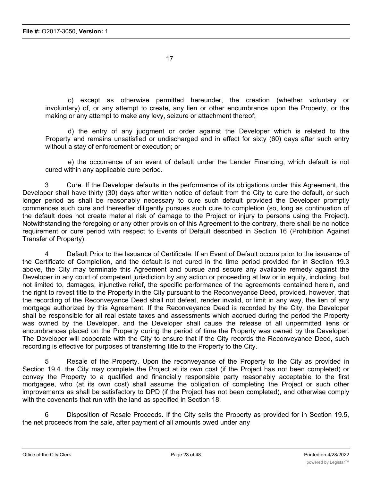c) except as otherwise permitted hereunder, the creation (whether voluntary or involuntary) of, or any attempt to create, any lien or other encumbrance upon the Property, or the making or any attempt to make any levy, seizure or attachment thereof;

d) the entry of any judgment or order against the Developer which is related to the Property and remains unsatisfied or undischarged and in effect for sixty (60) days after such entry without a stay of enforcement or execution; or

e) the occurrence of an event of default under the Lender Financing, which default is not cured within any applicable cure period.

3 Cure. If the Developer defaults in the performance of its obligations under this Agreement, the Developer shall have thirty (30) days after written notice of default from the City to cure the default, or such longer period as shall be reasonably necessary to cure such default provided the Developer promptly commences such cure and thereafter diligently pursues such cure to completion (so, long as continuation of the default does not create material risk of damage to the Project or injury to persons using the Project). Notwithstanding the foregoing or any other provision of this Agreement to the contrary, there shall be no notice requirement or cure period with respect to Events of Default described in Section 16 (Prohibition Against Transfer of Property).

4 Default Prior to the Issuance of Certificate. If an Event of Default occurs prior to the issuance of the Certificate of Completion, and the default is not cured in the time period provided for in Section 19.3 above, the City may terminate this Agreement and pursue and secure any available remedy against the Developer in any court of competent jurisdiction by any action or proceeding at law or in equity, including, but not limited to, damages, injunctive relief, the specific performance of the agreements contained herein, and the right to revest title to the Property in the City pursuant to the Reconveyance Deed, provided, however, that the recording of the Reconveyance Deed shall not defeat, render invalid, or limit in any way, the lien of any mortgage authorized by this Agreement. If the Reconveyance Deed is recorded by the City, the Developer shall be responsible for all real estate taxes and assessments which accrued during the period the Property was owned by the Developer, and the Developer shall cause the release of all unpermitted liens or encumbrances placed on the Property during the period of time the Property was owned by the Developer. The Developer will cooperate with the City to ensure that if the City records the Reconveyance Deed, such recording is effective for purposes of transferring title to the Property to the City.

5 Resale of the Property. Upon the reconveyance of the Property to the City as provided in Section 19.4. the City may complete the Project at its own cost (if the Project has not been completed) or convey the Property to a qualified and financially responsible party reasonably acceptable to the first mortgagee, who (at its own cost) shall assume the obligation of completing the Project or such other improvements as shall be satisfactory to DPD (if the Project has not been completed), and otherwise comply with the covenants that run with the land as specified in Section 18.

6 Disposition of Resale Proceeds. If the City sells the Property as provided for in Section 19.5, the net proceeds from the sale, after payment of all amounts owed under any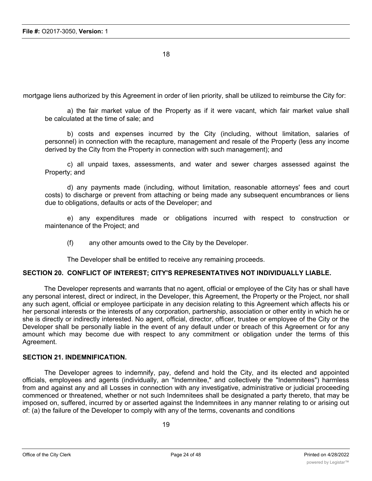mortgage liens authorized by this Agreement in order of lien priority, shall be utilized to reimburse the City for:

a) the fair market value of the Property as if it were vacant, which fair market value shall be calculated at the time of sale; and

b) costs and expenses incurred by the City (including, without limitation, salaries of personnel) in connection with the recapture, management and resale of the Property (less any income derived by the City from the Property in connection with such management); and

c) all unpaid taxes, assessments, and water and sewer charges assessed against the Property; and

d) any payments made (including, without limitation, reasonable attorneys' fees and court costs) to discharge or prevent from attaching or being made any subsequent encumbrances or liens due to obligations, defaults or acts of the Developer; and

e) any expenditures made or obligations incurred with respect to construction or maintenance of the Project; and

(f) any other amounts owed to the City by the Developer.

The Developer shall be entitled to receive any remaining proceeds.

#### **SECTION 20. CONFLICT OF INTEREST; CITY'S REPRESENTATIVES NOT INDIVIDUALLY LIABLE.**

The Developer represents and warrants that no agent, official or employee of the City has or shall have any personal interest, direct or indirect, in the Developer, this Agreement, the Property or the Project, nor shall any such agent, official or employee participate in any decision relating to this Agreement which affects his or her personal interests or the interests of any corporation, partnership, association or other entity in which he or she is directly or indirectly interested. No agent, official, director, officer, trustee or employee of the City or the Developer shall be personally liable in the event of any default under or breach of this Agreement or for any amount which may become due with respect to any commitment or obligation under the terms of this Agreement.

#### **SECTION 21. INDEMNIFICATION.**

The Developer agrees to indemnify, pay, defend and hold the City, and its elected and appointed officials, employees and agents (individually, an "Indemnitee," and collectively the "Indemnitees") harmless from and against any and all Losses in connection with any investigative, administrative or judicial proceeding commenced or threatened, whether or not such Indemnitees shall be designated a party thereto, that may be imposed on, suffered, incurred by or asserted against the Indemnitees in any manner relating to or arising out of: (a) the failure of the Developer to comply with any of the terms, covenants and conditions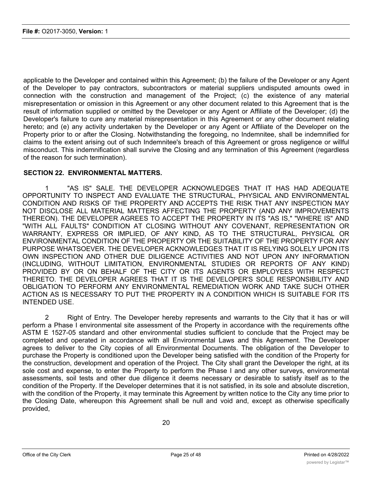applicable to the Developer and contained within this Agreement; (b) the failure of the Developer or any Agent of the Developer to pay contractors, subcontractors or material suppliers undisputed amounts owed in connection with the construction and management of the Project; (c) the existence of any material misrepresentation or omission in this Agreement or any other document related to this Agreement that is the result of information supplied or omitted by the Developer or any Agent or Affiliate of the Developer; (d) the Developer's failure to cure any material misrepresentation in this Agreement or any other document relating hereto; and (e) any activity undertaken by the Developer or any Agent or Affiliate of the Developer on the Property prior to or after the Closing. Notwithstanding the foregoing, no Indemnitee, shall be indemnified for claims to the extent arising out of such Indemnitee's breach of this Agreement or gross negligence or willful misconduct. This indemnification shall survive the Closing and any termination of this Agreement (regardless of the reason for such termination).

#### **SECTION 22. ENVIRONMENTAL MATTERS.**

1 "AS IS" SALE. THE DEVELOPER ACKNOWLEDGES THAT IT HAS HAD ADEQUATE OPPORTUNITY TO INSPECT AND EVALUATE THE STRUCTURAL, PHYSICAL AND ENVIRONMENTAL CONDITION AND RISKS OF THE PROPERTY AND ACCEPTS THE RISK THAT ANY INSPECTION MAY NOT DISCLOSE ALL MATERIAL MATTERS AFFECTING THE PROPERTY (AND ANY IMPROVEMENTS THEREON). THE DEVELOPER AGREES TO ACCEPT THE PROPERTY IN ITS "AS IS," "WHERE IS" AND "WITH ALL FAULTS" CONDITION AT CLOSING WITHOUT ANY COVENANT, REPRESENTATION OR WARRANTY, EXPRESS OR IMPLIED, OF ANY KIND, AS TO THE STRUCTURAL, PHYSICAL OR ENVIRONMENTAL CONDITION OF THE PROPERTY OR THE SUITABILITY OF THE PROPERTY FOR ANY PURPOSE WHATSOEVER. THE DEVELOPER ACKNOWLEDGES THAT IT IS RELYING SOLELY UPON ITS OWN INSPECTION AND OTHER DUE DILIGENCE ACTIVITIES AND NOT UPON ANY INFORMATION (INCLUDING, WITHOUT LIMITATION, ENVIRONMENTAL STUDIES OR REPORTS OF ANY KIND) PROVIDED BY OR ON BEHALF OF THE CITY OR ITS AGENTS OR EMPLOYEES WITH RESPECT THERETO. THE DEVELOPER AGREES THAT IT IS THE DEVELOPER'S SOLE RESPONSIBILITY AND OBLIGATION TO PERFORM ANY ENVIRONMENTAL REMEDIATION WORK AND TAKE SUCH OTHER ACTION AS IS NECESSARY TO PUT THE PROPERTY IN A CONDITION WHICH IS SUITABLE FOR ITS INTENDED USE.

2 Right of Entry. The Developer hereby represents and warrants to the City that it has or will perform a Phase I environmental site assessment of the Property in accordance with the requirements ofthe ASTM E 1527-05 standard and other environmental studies sufficient to conclude that the Project may be completed and operated in accordance with all Environmental Laws and this Agreement. The Developer agrees to deliver to the City copies of all Environmental Documents. The obligation of the Developer to purchase the Property is conditioned upon the Developer being satisfied with the condition of the Property for the construction, development and operation of the Project. The City shall grant the Developer the right, at its sole cost and expense, to enter the Property to perform the Phase I and any other surveys, environmental assessments, soil tests and other due diligence it deems necessary or desirable to satisfy itself as to the condition of the Property. If the Developer determines that it is not satisfied, in its sole and absolute discretion, with the condition of the Property, it may terminate this Agreement by written notice to the City any time prior to the Closing Date, whereupon this Agreement shall be null and void and, except as otherwise specifically provided,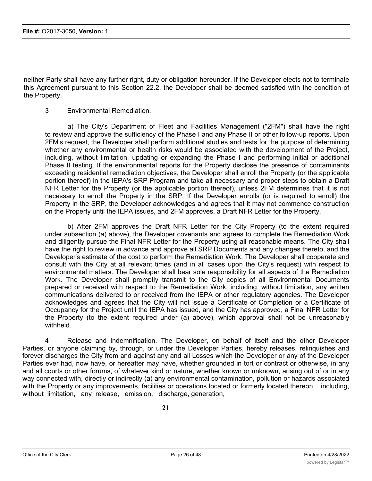neither Party shall have any further right, duty or obligation hereunder. If the Developer elects not to terminate this Agreement pursuant to this Section 22.2, the Developer shall be deemed satisfied with the condition of the Property.

3 Environmental Remediation.

a) The City's Department of Fleet and Facilities Management ("2FM") shall have the right to review and approve the sufficiency of the Phase I and any Phase II or other follow-up reports. Upon 2FM's request, the Developer shall perform additional studies and tests for the purpose of determining whether any environmental or health risks would be associated with the development of the Project, including, without limitation, updating or expanding the Phase I and performing initial or additional Phase II testing. If the environmental reports for the Property disclose the presence of contaminants exceeding residential remediation objectives, the Developer shall enroll the Property (or the applicable portion thereof) in the lEPA's SRP Program and take all necessary and proper steps to obtain a Draft NFR Letter for the Property (or the applicable portion thereof), unless 2FM determines that it is not necessary to enroll the Property in the SRP. If the Developer enrolls (or is required to enroll) the Property in the SRP, the Developer acknowledges and agrees that it may not commence construction on the Property until the IEPA issues, and 2FM approves, a Draft NFR Letter for the Property.

b) After 2FM approves the Draft NFR Letter for the City Property (to the extent required under subsection (a) above), the Developer covenants and agrees to complete the Remediation Work and diligently pursue the Final NFR Letter for the Property using all reasonable means. The City shall have the right to review in advance and approve all SRP Documents and any changes thereto, and the Developer's estimate of the cost to perform the Remediation Work. The Developer shall cooperate and consult with the City at all relevant times (and in all cases upon the City's request) with respect to environmental matters. The Developer shall bear sole responsibility for all aspects of the Remediation Work. The Developer shall promptly transmit to the City copies of all Environmental Documents prepared or received with respect to the Remediation Work, including, without limitation, any written communications delivered to or received from the IEPA or other regulatory agencies. The Developer acknowledges and agrees that the City will not issue a Certificate of Completion or a Certificate of Occupancy for the Project until the IEPA has issued, and the City has approved, a Final NFR Letter for the Property (to the extent required under (a) above), which approval shall not be unreasonably withheld.

4 Release and Indemnification. The Developer, on behalf of itself and the other Developer Parties, or anyone claiming by, through, or under the Developer Parties, hereby releases, relinquishes and forever discharges the City from and against any and all Losses which the Developer or any of the Developer Parties ever had, now have, or hereafter may have, whether grounded in tort or contract or otherwise, in any and all courts or other forums, of whatever kind or nature, whether known or unknown, arising out of or in any way connected with, directly or indirectly (a) any environmental contamination, pollution or hazards associated with the Property or any improvements, facilities or operations located or formerly located thereon, including, without limitation, any release, emission, discharge, generation,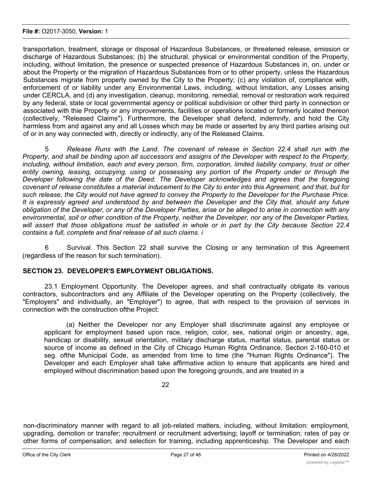#### **File #:** O2017-3050, **Version:** 1

transportation, treatment, storage or disposal of Hazardous Substances, or threatened release, emission or discharge of Hazardous Substances; (b) the structural, physical or environmental condition of the Property, including, without limitation, the presence or suspected presence of Hazardous Substances in, on, under or about the Property or the migration of Hazardous Substances from or to other property, unless the Hazardous Substances migrate from property owned by the City to the Property; (c) any violation of, compliance with, enforcement of or liability under any Environmental Laws, including, without limitation, any Losses arising under CERCLA, and (d) any investigation, cleanup, monitoring, remedial, removal or restoration work required by any federal, state or local governmental agency or political subdivision or other third party in connection or associated with thie Property or any improvements, facilities or operations located or formerly located thereon (collectively, "Released Claims"). Furthermore, the Developer shall defend, indemnify, and hold the City harmless from and against any and all Losses which may be made or asserted by any third parties arising out of or in any way connected with, directly or indirectly, any of the Released Claims.

5 *Release Runs with the Land. The covenant of release in Section 22.4 shall run with the* Property, and shall be binding upon all successors and assigns of the Developer with respect to the Property, *including, without limitation, each and every person, firm, corporation, limited liability company, trust or other entity owning, leasing, occupying, using or possessing any portion of the Property under or through the Developer following the date of the Deed. The Developer acknowledges and agrees that the foregoing* covenant of release constitutes a material inducement to the City to enter into this Agreement, and that, but for such release, the City would not have agreed to convey the Property to the Developer for the Purchase Price. It is expressly agreed and understood by and between the Developer and the City that, should any future obligation of the Developer, or any of the Developer Parties, arise or be alleged to arise in connection with any environmental, soil or other condition of the Property, neither the Developer, nor any of the Developer Parties, will assert that those obligations must be satisfied in whole or in part by the City because Section 22.4 *contains a full, complete and final release of all such claims. i*

6 Survival. This Section 22 shall survive the Closing or any termination of this Agreement (regardless of the reason for such termination).

## **SECTION 23. DEVELOPER'S EMPLOYMENT OBLIGATIONS.**

23.1 Employment Opportunity. The Developer agrees, and shall contractually obligate its various contractors, subcontractors and any Affiliate of the Developer operating on the Property (collectively, the "Employers" and individually, an "Employer") to agree, that with respect to the provision of services in connection with the construction ofthe Project:

(a) Neither the Developer nor any Employer shall discriminate against any employee or applicant for employment based upon race, religion, color, sex, national origin or ancestry, age, handicap or disability, sexual orientation, military discharge status, marital status, parental status or source of income as defined in the City of Chicago Human Rights Ordinance, Section 2-160-010 et seg. ofthe Municipal Code, as amended from time to time (the "Human Rights Ordinance"). The Developer and each Employer shall take affirmative action to ensure that applicants are hired and employed without discrimination based upon the foregoing grounds, and are treated in a

22

non-discriminatory manner with regard to all job-related matters, including, without limitation: employment, upgrading, demotion or transfer; recruitment or recruitment advertising; layoff or termination; rates of pay or other forms of compensation; and selection for training, including apprenticeship. The Developer and each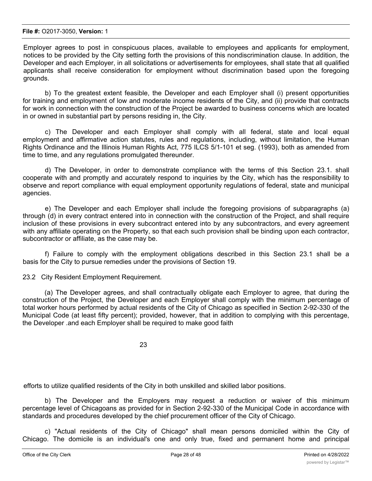Employer agrees to post in conspicuous places, available to employees and applicants for employment, notices to be provided by the City setting forth the provisions of this nondiscrimination clause. In addition, the Developer and each Employer, in all solicitations or advertisements for employees, shall state that all qualified applicants shall receive consideration for employment without discrimination based upon the foregoing grounds.

b) To the greatest extent feasible, the Developer and each Employer shall (i) present opportunities for training and employment of low and moderate income residents of the City, and (ii) provide that contracts for work in connection with the construction of the Project be awarded to business concerns which are located in or owned in substantial part by persons residing in, the City.

c) The Developer and each Employer shall comply with all federal, state and local equal employment and affirmative action statutes, rules and regulations, including, without limitation, the Human Rights Ordinance and the Illinois Human Rights Act, 775 ILCS 5/1-101 et seg. (1993), both as amended from time to time, and any regulations promulgated thereunder.

d) The Developer, in order to demonstrate compliance with the terms of this Section 23.1. shall cooperate with and promptly and accurately respond to inquiries by the City, which has the responsibility to observe and report compliance with equal employment opportunity regulations of federal, state and municipal agencies.

e) The Developer and each Employer shall include the foregoing provisions of subparagraphs (a) through (d) in every contract entered into in connection with the construction of the Project, and shall require inclusion of these provisions in every subcontract entered into by any subcontractors, and every agreement with any affiliate operating on the Property, so that each such provision shall be binding upon each contractor, subcontractor or affiliate, as the case may be.

f) Failure to comply with the employment obligations described in this Section 23.1 shall be a basis for the City to pursue remedies under the provisions of Section 19.

23.2 City Resident Employment Requirement.

(a) The Developer agrees, and shall contractually obligate each Employer to agree, that during the construction of the Project, the Developer and each Employer shall comply with the minimum percentage of total worker hours performed by actual residents of the City of Chicago as specified in Section 2-92-330 of the Municipal Code (at least fifty percent); provided, however, that in addition to complying with this percentage, the Developer .and each Employer shall be required to make good faith

23

efforts to utilize qualified residents of the City in both unskilled and skilled labor positions.

b) The Developer and the Employers may request a reduction or waiver of this minimum percentage level of Chicagoans as provided for in Section 2-92-330 of the Municipal Code in accordance with standards and procedures developed by the chief procurement officer of the City of Chicago.

c) "Actual residents of the City of Chicago" shall mean persons domiciled within the City of Chicago. The domicile is an individual's one and only true, fixed and permanent home and principal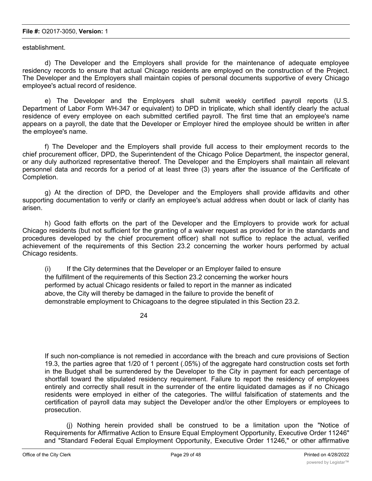#### **File #:** O2017-3050, **Version:** 1

establishment.

d) The Developer and the Employers shall provide for the maintenance of adequate employee residency records to ensure that actual Chicago residents are employed on the construction of the Project. The Developer and the Employers shall maintain copies of personal documents supportive of every Chicago employee's actual record of residence.

e) The Developer and the Employers shall submit weekly certified payroll reports (U.S. Department of Labor Form WH-347 or equivalent) to DPD in triplicate, which shall identify clearly the actual residence of every employee on each submitted certified payroll. The first time that an employee's name appears on a payroll, the date that the Developer or Employer hired the employee should be written in after the employee's name.

f) The Developer and the Employers shall provide full access to their employment records to the chief procurement officer, DPD, the Superintendent of the Chicago Police Department, the inspector general, or any duly authorized representative thereof. The Developer and the Employers shall maintain all relevant personnel data and records for a period of at least three (3) years after the issuance of the Certificate of Completion.

g) At the direction of DPD, the Developer and the Employers shall provide affidavits and other supporting documentation to verify or clarify an employee's actual address when doubt or lack of clarity has arisen.

h) Good faith efforts on the part of the Developer and the Employers to provide work for actual Chicago residents (but not sufficient for the granting of a waiver request as provided for in the standards and procedures developed by the chief procurement officer) shall not suffice to replace the actual, verified achievement of the requirements of this Section 23.2 concerning the worker hours performed by actual Chicago residents.

(i) If the City determines that the Developer or an Employer failed to ensure the fulfillment of the requirements of this Section 23.2 concerning the worker hours performed by actual Chicago residents or failed to report in the manner as indicated above, the City will thereby be damaged in the failure to provide the benefit of demonstrable employment to Chicagoans to the degree stipulated in this Section 23.2.

24

If such non-compliance is not remedied in accordance with the breach and cure provisions of Section 19.3, the parties agree that 1/20 of 1 percent (.05%) of the aggregate hard construction costs set forth in the Budget shall be surrendered by the Developer to the City in payment for each percentage of shortfall toward the stipulated residency requirement. Failure to report the residency of employees entirely and correctly shall result in the surrender of the entire liquidated damages as if no Chicago residents were employed in either of the categories. The willful falsification of statements and the certification of payroll data may subject the Developer and/or the other Employers or employees to prosecution.

(j) Nothing herein provided shall be construed to be a limitation upon the "Notice of Requirements for Affirmative Action to Ensure Equal Employment Opportunity, Executive Order 11246" and "Standard Federal Equal Employment Opportunity, Executive Order 11246," or other affirmative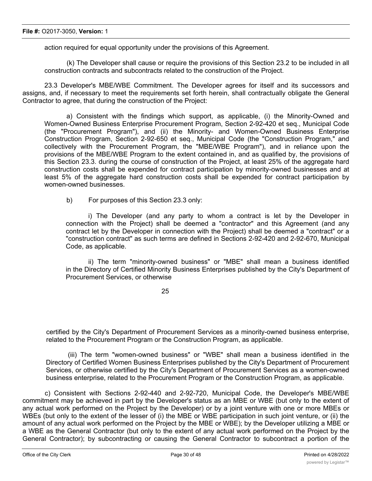action required for equal opportunity under the provisions of this Agreement.

(k) The Developer shall cause or require the provisions of this Section 23.2 to be included in all construction contracts and subcontracts related to the construction of the Project.

23.3 Developer's MBE/WBE Commitment. The Developer agrees for itself and its successors and assigns, and, if necessary to meet the requirements set forth herein, shall contractually obligate the General Contractor to agree, that during the construction of the Project:

a) Consistent with the findings which support, as applicable, (i) the Minority-Owned and Women-Owned Business Enterprise Procurement Program, Section 2-92-420 et seq., Municipal Code (the "Procurement Program"), and (ii) the Minority- and Women-Owned Business Enterprise Construction Program, Section 2-92-650 et seq., Municipal Code (the "Construction Program," and collectively with the Procurement Program, the "MBE/WBE Program"), and in reliance upon the provisions of the MBE/WBE Program to the extent contained in, and as qualified by, the provisions of this Section 23.3. during the course of construction of the Project, at least 25% of the aggregate hard construction costs shall be expended for contract participation by minority-owned businesses and at least 5% of the aggregate hard construction costs shall be expended for contract participation by women-owned businesses.

b) For purposes of this Section 23.3 only:

i) The Developer (and any party to whom a contract is let by the Developer in connection with the Project) shall be deemed a "contractor" and this Agreement (and any contract let by the Developer in connection with the Project) shall be deemed a "contract" or a "construction contract" as such terms are defined in Sections 2-92-420 and 2-92-670, Municipal Code, as applicable.

ii) The term "minority-owned business" or "MBE" shall mean a business identified in the Directory of Certified Minority Business Enterprises published by the City's Department of Procurement Services, or otherwise

25

certified by the City's Department of Procurement Services as a minority-owned business enterprise, related to the Procurement Program or the Construction Program, as applicable.

(iii) The term "women-owned business" or "WBE" shall mean a business identified in the Directory of Certified Women Business Enterprises published by the City's Department of Procurement Services, or otherwise certified by the City's Department of Procurement Services as a women-owned business enterprise, related to the Procurement Program or the Construction Program, as applicable.

c) Consistent with Sections 2-92-440 and 2-92-720, Municipal Code, the Developer's MBE/WBE commitment may be achieved in part by the Developer's status as an MBE or WBE (but only to the extent of any actual work performed on the Project by the Developer) or by a joint venture with one or more MBEs or WBEs (but only to the extent of the lesser of (i) the MBE or WBE participation in such joint venture, or (ii) the amount of any actual work performed on the Project by the MBE or WBE); by the Developer utilizing a MBE or a WBE as the General Contractor (but only to the extent of any actual work performed on the Project by the General Contractor); by subcontracting or causing the General Contractor to subcontract a portion of the construction of the Project to one or more MBEs or WBEs; by the purchase of materials or services used in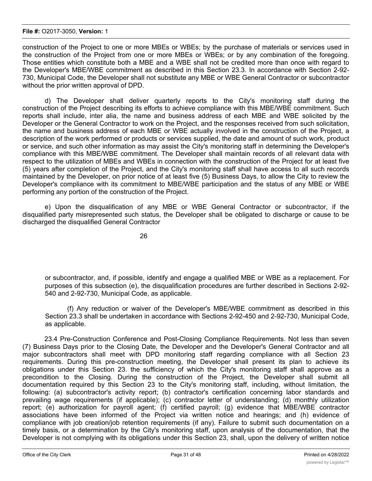#### **File #:** O2017-3050, **Version:** 1

construction of the Project to one or more MBEs or WBEs; by the purchase of materials or services used in the construction of the Project from one or more MBEs or WBEs; or by any combination of the foregoing. Those entities which constitute both a MBE and a WBE shall not be credited more than once with regard to the Developer's MBE/WBE commitment as described in this Section 23.3. In accordance with Section 2-92- 730, Municipal Code, the Developer shall not substitute any MBE or WBE General Contractor or subcontractor without the prior written approval of DPD.

d) The Developer shall deliver quarterly reports to the City's monitoring staff during the construction of the Project describing its efforts to achieve compliance with this MBE/WBE commitment. Such reports shall include, inter alia, the name and business address of each MBE and WBE solicited by the Developer or the General Contractor to work on the Project, and the responses received from such solicitation, the name and business address of each MBE or WBE actually involved in the construction of the Project, a description of the work performed or products or services supplied, the date and amount of such work, product or service, and such other information as may assist the City's monitoring staff in determining the Developer's compliance with this MBE/WBE commitment. The Developer shall maintain records of all relevant data with respect to the utilization of MBEs and WBEs in connection with the construction of the Project for at least five (5) years after completion of the Project, and the City's monitoring staff shall have access to all such records maintained by the Developer, on prior notice of at least five (5) Business Days, to allow the City to review the Developer's compliance with its commitment to MBE/WBE participation and the status of any MBE or WBE performing any portion of the construction of the Project.

e) Upon the disqualification of any MBE or WBE General Contractor or subcontractor, if the disqualified party misrepresented such status, the Developer shall be obligated to discharge or cause to be discharged the disqualified General Contractor

26

or subcontractor, and, if possible, identify and engage a qualified MBE or WBE as a replacement. For purposes of this subsection (e), the disqualification procedures are further described in Sections 2-92- 540 and 2-92-730, Municipal Code, as applicable.

(f) Any reduction or waiver of the Developer's MBE/WBE commitment as described in this Section 23.3 shall be undertaken in accordance with Sections 2-92-450 and 2-92-730, Municipal Code, as applicable.

23.4 Pre-Construction Conference and Post-Closing Compliance Requirements. Not less than seven (7) Business Days prior to the Closing Date, the Developer and the Developer's General Contractor and all major subcontractors shall meet with DPD monitoring staff regarding compliance with all Section 23 requirements. During this pre-construction meeting, the Developer shall present its plan to achieve its obligations under this Section 23. the sufficiency of which the City's monitoring staff shall approve as a precondition to the Closing. During the construction of the Project, the Developer shall submit all documentation required by this Section 23 to the City's monitoring staff, including, without limitation, the following: (a) subcontractor's activity report; (b) contractor's certification concerning labor standards and prevailing wage requirements (if applicable); (c) contractor letter of understanding; (d) monthly utilization report; (e) authorization for payroll agent; (f) certified payroll; (g) evidence that MBE/WBE contractor associations have been informed of the Project via written notice and hearings; and (h) evidence of compliance with job creation/job retention requirements (if any). Failure to submit such documentation on a timely basis, or a determination by the City's monitoring staff, upon analysis of the documentation, that the Developer is not complying with its obligations under this Section 23, shall, upon the delivery of written notice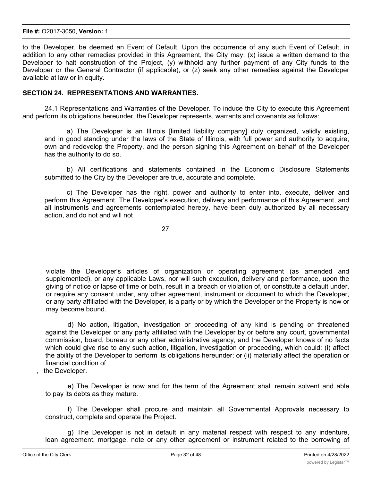#### **File #:** O2017-3050, **Version:** 1

to the Developer, be deemed an Event of Default. Upon the occurrence of any such Event of Default, in addition to any other remedies provided in this Agreement, the City may: (x) issue a written demand to the Developer to halt construction of the Project, (y) withhold any further payment of any City funds to the Developer or the General Contractor (if applicable), or (z) seek any other remedies against the Developer available at law or in equity.

#### **SECTION 24. REPRESENTATIONS AND WARRANTIES.**

24.1 Representations and Warranties of the Developer. To induce the City to execute this Agreement and perform its obligations hereunder, the Developer represents, warrants and covenants as follows:

a) The Developer is an Illinois [limited liability company] duly organized, validly existing, and in good standing under the laws of the State of Illinois, with full power and authority to acquire, own and redevelop the Property, and the person signing this Agreement on behalf of the Developer has the authority to do so.

b) All certifications and statements contained in the Economic Disclosure Statements submitted to the City by the Developer are true, accurate and complete.

c) The Developer has the right, power and authority to enter into, execute, deliver and perform this Agreement. The Developer's execution, delivery and performance of this Agreement, and all instruments and agreements contemplated hereby, have been duly authorized by all necessary action, and do not and will not

27

violate the Developer's articles of organization or operating agreement (as amended and supplemented), or any applicable Laws, nor will such execution, delivery and performance, upon the giving of notice or lapse of time or both, result in a breach or violation of, or constitute a default under, or require any consent under, any other agreement, instrument or document to which the Developer, or any party affiliated with the Developer, is a party or by which the Developer or the Property is now or may become bound.

d) No action, litigation, investigation or proceeding of any kind is pending or threatened against the Developer or any party affiliated with the Developer by or before any court, governmental commission, board, bureau or any other administrative agency, and the Developer knows of no facts which could give rise to any such action, litigation, investigation or proceeding, which could: (i) affect the ability of the Developer to perform its obligations hereunder; or (ii) materially affect the operation or financial condition of

the Developer.

e) The Developer is now and for the term of the Agreement shall remain solvent and able to pay its debts as they mature.

f) The Developer shall procure and maintain all Governmental Approvals necessary to construct, complete and operate the Project.

g) The Developer is not in default in any material respect with respect to any indenture, loan agreement, mortgage, note or any other agreement or instrument related to the borrowing of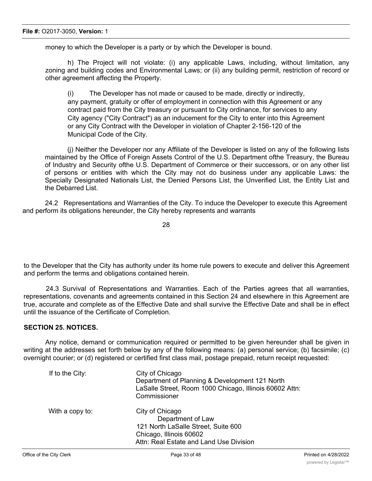money to which the Developer is a party or by which the Developer is bound.

h) The Project will not violate: (i) any applicable Laws, including, without limitation, any zoning and building codes and Environmental Laws; or (ii) any building permit, restriction of record or other agreement affecting the Property.

(i) The Developer has not made or caused to be made, directly or indirectly, any payment, gratuity or offer of employment in connection with this Agreement or any contract paid from the City treasury or pursuant to City ordinance, for services to any City agency ("City Contract") as an inducement for the City to enter into this Agreement or any City Contract with the Developer in violation of Chapter 2-156-120 of the Municipal Code of the City.

(j) Neither the Developer nor any Affiliate of the Developer is listed on any of the following lists maintained by the Office of Foreign Assets Control of the U.S. Department ofthe Treasury, the Bureau of Industry and Security ofthe U.S. Department of Commerce or their successors, or on any other list of persons or entities with which the City may not do business under any applicable Laws: the Specially Designated Nationals List, the Denied Persons List, the Unverified List, the Entity List and the Debarred List.

24.2 Representations and Warranties of the City. To induce the Developer to execute this Agreement and perform its obligations hereunder, the City hereby represents and warrants

28

to the Developer that the City has authority under its home rule powers to execute and deliver this Agreement and perform the terms and obligations contained herein.

24.3 Survival of Representations and Warranties. Each of the Parties agrees that all warranties, representations, covenants and agreements contained in this Section 24 and elsewhere in this Agreement are true, accurate and complete as of the Effective Date and shall survive the Effective Date and shall be in effect until the issuance of the Certificate of Completion.

## **SECTION 25. NOTICES.**

Any notice, demand or communication required or permitted to be given hereunder shall be given in writing at the addresses set forth below by any of the following means: (a) personal service; (b) facsimile; (c) overnight courier; or (d) registered or certified first class mail, postage prepaid, return receipt requested:

| If to the City: | City of Chicago<br>Department of Planning & Development 121 North<br>LaSalle Street, Room 1000 Chicago, Illinois 60602 Attn:<br>Commissioner      |
|-----------------|---------------------------------------------------------------------------------------------------------------------------------------------------|
| With a copy to: | City of Chicago<br>Department of Law<br>121 North LaSalle Street, Suite 600<br>Chicago, Illinois 60602<br>Attn: Real Estate and Land Use Division |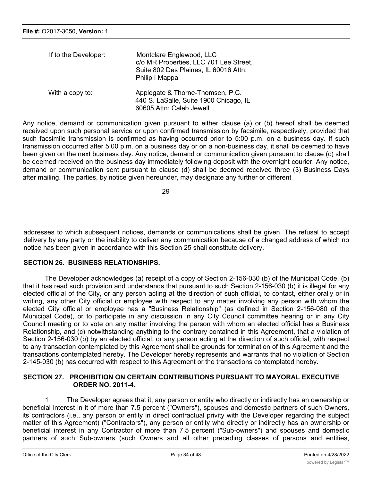| If to the Developer: | Montclare Englewood, LLC<br>c/o MR Properties, LLC 701 Lee Street,<br>Suite 802 Des Plaines, IL 60016 Attn:<br>Philip I Mappa |
|----------------------|-------------------------------------------------------------------------------------------------------------------------------|
| With a copy to:      | Applegate & Thorne-Thomsen, P.C.<br>440 S. LaSalle, Suite 1900 Chicago, IL<br>60605 Attn: Caleb Jewell                        |

Any notice, demand or communication given pursuant to either clause (a) or (b) hereof shall be deemed received upon such personal service or upon confirmed transmission by facsimile, respectively, provided that such facsimile transmission is confirmed as having occurred prior to 5:00 p.m. on a business day. If such transmission occurred after 5:00 p.m. on a business day or on a non-business day, it shall be deemed to have been given on the next business day. Any notice, demand or communication given pursuant to clause (c) shall be deemed received on the business day immediately following deposit with the overnight courier. Any notice, demand or communication sent pursuant to clause (d) shall be deemed received three (3) Business Days after mailing. The parties, by notice given hereunder, may designate any further or different

29

addresses to which subsequent notices, demands or communications shall be given. The refusal to accept delivery by any party or the inability to deliver any communication because of a changed address of which no notice has been given in accordance with this Section 25 shall constitute delivery.

#### **SECTION 26. BUSINESS RELATIONSHIPS.**

The Developer acknowledges (a) receipt of a copy of Section 2-156-030 (b) of the Municipal Code, (b) that it has read such provision and understands that pursuant to such Section 2-156-030 (b) it is illegal for any elected official of the City, or any person acting at the direction of such official, to contact, either orally or in writing, any other City official or employee with respect to any matter involving any person with whom the elected City official or employee has a "Business Relationship" (as defined in Section 2-156-080 of the Municipal Code), or to participate in any discussion in any City Council committee hearing or in any City Council meeting or to vote on any matter involving the person with whom an elected official has a Business Relationship, and (c) notwithstanding anything to the contrary contained in this Agreement, that a violation of Section 2-156-030 (b) by an elected official, or any person acting at the direction of such official, with respect to any transaction contemplated by this Agreement shall be grounds for termination of this Agreement and the transactions contemplated hereby. The Developer hereby represents and warrants that no violation of Section 2-145-030 (b) has occurred with respect to this Agreement or the transactions contemplated hereby.

## **SECTION 27. PROHIBITION ON CERTAIN CONTRIBUTIONS PURSUANT TO MAYORAL EXECUTIVE ORDER NO. 2011-4.**

1 The Developer agrees that it, any person or entity who directly or indirectly has an ownership or beneficial interest in it of more than 7.5 percent ("Owners"), spouses and domestic partners of such Owners, its contractors (i.e., any person or entity in direct contractual privity with the Developer regarding the subject matter of this Agreement) ("Contractors"), any person or entity who directly or indirectly has an ownership or beneficial interest in any Contractor of more than 7.5 percent ("Sub-owners") and spouses and domestic partners of such Sub-owners (such Owners and all other preceding classes of persons and entities,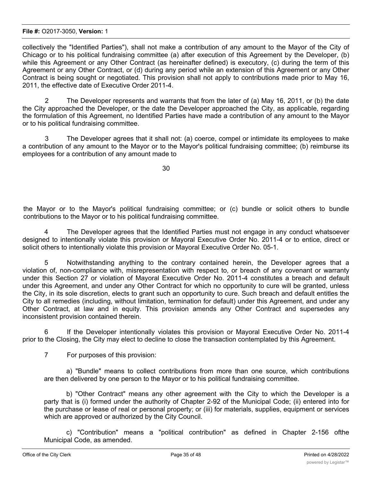#### **File #:** O2017-3050, **Version:** 1

collectively the "Identified Parties"), shall not make a contribution of any amount to the Mayor of the City of Chicago or to his political fundraising committee (a) after execution of this Agreement by the Developer, (b) while this Agreement or any Other Contract (as hereinafter defined) is executory, (c) during the term of this Agreement or any Other Contract, or (d) during any period while an extension of this Agreement or any Other Contract is being sought or negotiated. This provision shall not apply to contributions made prior to May 16, 2011, the effective date of Executive Order 2011-4.

2 The Developer represents and warrants that from the later of (a) May 16, 2011, or (b) the date the City approached the Developer, or the date the Developer approached the City, as applicable, regarding the formulation of this Agreement, no Identified Parties have made a contribution of any amount to the Mayor or to his political fundraising committee.

3 The Developer agrees that it shall not: (a) coerce, compel or intimidate its employees to make a contribution of any amount to the Mayor or to the Mayor's political fundraising committee; (b) reimburse its employees for a contribution of any amount made to

the Mayor or to the Mayor's political fundraising committee; or (c) bundle or solicit others to bundle contributions to the Mayor or to his political fundraising committee.

4 The Developer agrees that the Identified Parties must not engage in any conduct whatsoever designed to intentionally violate this provision or Mayoral Executive Order No. 2011-4 or to entice, direct or solicit others to intentionally violate this provision or Mayoral Executive Order No. 05-1.

5 Notwithstanding anything to the contrary contained herein, the Developer agrees that a violation of, non-compliance with, misrepresentation with respect to, or breach of any covenant or warranty under this Section 27 or violation of Mayoral Executive Order No. 2011-4 constitutes a breach and default under this Agreement, and under any Other Contract for which no opportunity to cure will be granted, unless the City, in its sole discretion, elects to grant such an opportunity to cure. Such breach and default entitles the City to all remedies (including, without limitation, termination for default) under this Agreement, and under any Other Contract, at law and in equity. This provision amends any Other Contract and supersedes any inconsistent provision contained therein.

If the Developer intentionally violates this provision or Mayoral Executive Order No. 2011-4 prior to the Closing, the City may elect to decline to close the transaction contemplated by this Agreement.

7 For purposes of this provision:

a) "Bundle" means to collect contributions from more than one source, which contributions are then delivered by one person to the Mayor or to his political fundraising committee.

b) "Other Contract" means any other agreement with the City to which the Developer is a party that is (i) formed under the authority of Chapter 2-92 of the Municipal Code; (ii) entered into for the purchase or lease of real or personal property; or (iii) for materials, supplies, equipment or services which are approved or authorized by the City Council.

c) "Contribution" means a "political contribution" as defined in Chapter 2-156 ofthe Municipal Code, as amended.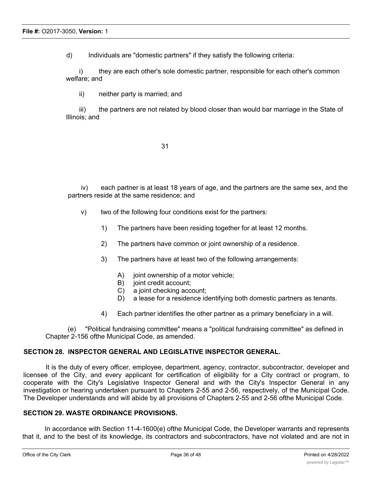d) Individuals are "domestic partners" if they satisfy the following criteria:

i) they are each other's sole domestic partner, responsible for each other's common welfare; and

ii) neither party is married; and

iii) the partners are not related by blood closer than would bar marriage in the State of Illinois; and

| ۰                             | ۰.<br>٧ |
|-------------------------------|---------|
| ٠<br>۰.<br>۰.<br>×<br>×<br>۰, |         |

iv) each partner is at least 18 years of age, and the partners are the same sex, and the partners reside at the same residence; and

- v) two of the following four conditions exist for the partners:
	- 1) The partners have been residing together for at least 12 months.
	- 2) The partners have common or joint ownership of a residence.
	- 3) The partners have at least two of the following arrangements:
		- A) joint ownership of a motor vehicle;
		- B) joint credit account;
		- C) a joint checking account;
		- D) a lease for a residence identifying both domestic partners as tenants.
	- 4) Each partner identifies the other partner as a primary beneficiary in a will.

(e) "Political fundraising committee" means a "political fundraising committee" as defined in Chapter 2-156 ofthe Municipal Code, as amended.

#### **SECTION 28. INSPECTOR GENERAL AND LEGISLATIVE INSPECTOR GENERAL.**

It is the duty of every officer, employee, department, agency, contractor, subcontractor, developer and licensee of the City, and every applicant for certification of eligibility for a City contract or program, to cooperate with the City's Legislative Inspector General and with the City's Inspector General in any investigation or hearing undertaken pursuant to Chapters 2-55 and 2-56, respectively, of the Municipal Code. The Developer understands and will abide by all provisions of Chapters 2-55 and 2-56 ofthe Municipal Code.

#### **SECTION 29. WASTE ORDINANCE PROVISIONS.**

In accordance with Section 11-4-1600(e) ofthe Municipal Code, the Developer warrants and represents that it, and to the best of its knowledge, its contractors and subcontractors, have not violated and are not in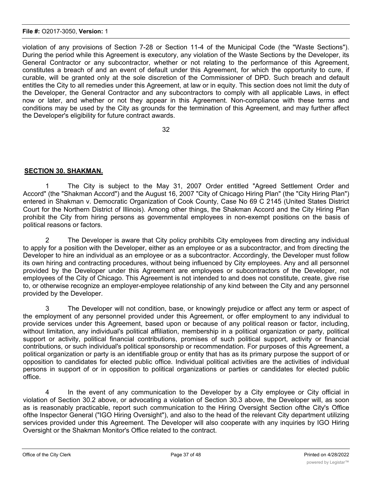#### **File #:** O2017-3050, **Version:** 1

violation of any provisions of Section 7-28 or Section 11-4 of the Municipal Code (the "Waste Sections"). During the period while this Agreement is executory, any violation of the Waste Sections by the Developer, its General Contractor or any subcontractor, whether or not relating to the performance of this Agreement, constitutes a breach of and an event of default under this Agreement, for which the opportunity to cure, if curable, will be granted only at the sole discretion of the Commissioner of DPD. Such breach and default entitles the City to all remedies under this Agreement, at law or in equity. This section does not limit the duty of the Developer, the General Contractor and any subcontractors to comply with all applicable Laws, in effect now or later, and whether or not they appear in this Agreement. Non-compliance with these terms and conditions may be used by the City as grounds for the termination of this Agreement, and may further affect the Developer's eligibility for future contract awards.

32

## **SECTION 30. SHAKMAN.**

1 The City is subject to the May 31, 2007 Order entitled "Agreed Settlement Order and Accord" (the "Shakman Accord") and the August 16, 2007 "City of Chicago Hiring Plan" (the "City Hiring Plan") entered in Shakman v. Democratic Organization of Cook County, Case No 69 C 2145 (United States District Court for the Northern District of Illinois). Among other things, the Shakman Accord and the City Hiring Plan prohibit the City from hiring persons as governmental employees in non-exempt positions on the basis of political reasons or factors.

2 The Developer is aware that City policy prohibits City employees from directing any individual to apply for a position with the Developer, either as an employee or as a subcontractor, and from directing the Developer to hire an individual as an employee or as a subcontractor. Accordingly, the Developer must follow its own hiring and contracting procedures, without being influenced by City employees. Any and all personnel provided by the Developer under this Agreement are employees or subcontractors of the Developer, not employees of the City of Chicago. This Agreement is not intended to and does not constitute, create, give rise to, or otherwise recognize an employer-employee relationship of any kind between the City and any personnel provided by the Developer.

3 The Developer will not condition, base, or knowingly prejudice or affect any term or aspect of the employment of any personnel provided under this Agreement, or offer employment to any individual to provide services under this Agreement, based upon or because of any political reason or factor, including, without limitation, any individual's political affiliation, membership in a political organization or party, political support or activity, political financial contributions, promises of such political support, activity or financial contributions, or such individual's political sponsorship or recommendation. For purposes of this Agreement, a political organization or party is an identifiable group or entity that has as its primary purpose the support of or opposition to candidates for elected public office. Individual political activities are the activities of individual persons in support of or in opposition to political organizations or parties or candidates for elected public office.

4 In the event of any communication to the Developer by a City employee or City official in violation of Section 30.2 above, or advocating a violation of Section 30.3 above, the Developer will, as soon as is reasonably practicable, report such communication to the Hiring Oversight Section ofthe City's Office ofthe Inspector General ("IGO Hiring Oversight"), and also to the head of the relevant City department utilizing services provided under this Agreement. The Developer will also cooperate with any inquiries by IGO Hiring Oversight or the Shakman Monitor's Office related to the contract.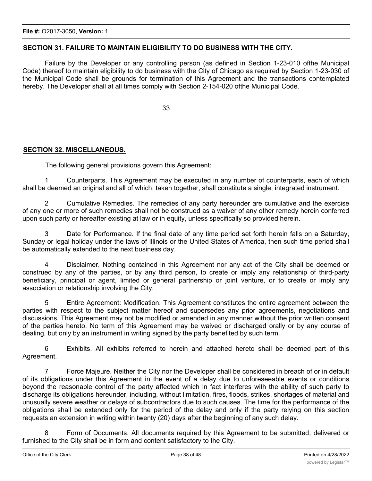## **SECTION 31. FAILURE TO MAINTAIN ELIGIBILITY TO DO BUSINESS WITH THE CITY.**

Failure by the Developer or any controlling person (as defined in Section 1-23-010 ofthe Municipal Code) thereof to maintain eligibility to do business with the City of Chicago as required by Section 1-23-030 of the Municipal Code shall be grounds for termination of this Agreement and the transactions contemplated hereby. The Developer shall at all times comply with Section 2-154-020 ofthe Municipal Code.

33

## **SECTION 32. MISCELLANEOUS.**

The following general provisions govern this Agreement:

1 Counterparts. This Agreement may be executed in any number of counterparts, each of which shall be deemed an original and all of which, taken together, shall constitute a single, integrated instrument.

2 Cumulative Remedies. The remedies of any party hereunder are cumulative and the exercise of any one or more of such remedies shall not be construed as a waiver of any other remedy herein conferred upon such party or hereafter existing at law or in equity, unless specifically so provided herein.

3 Date for Performance. If the final date of any time period set forth herein falls on a Saturday, Sunday or legal holiday under the laws of Illinois or the United States of America, then such time period shall be automatically extended to the next business day.

4 Disclaimer. Nothing contained in this Agreement nor any act of the City shall be deemed or construed by any of the parties, or by any third person, to create or imply any relationship of third-party beneficiary, principal or agent, limited or general partnership or joint venture, or to create or imply any association or relationship involving the City.

5 Entire Agreement: Modification. This Agreement constitutes the entire agreement between the parties with respect to the subject matter hereof and supersedes any prior agreements, negotiations and discussions. This Agreement may not be modified or amended in any manner without the prior written consent of the parties hereto. No term of this Agreement may be waived or discharged orally or by any course of dealing, but only by an instrument in writing signed by the party benefited by such term.

6 Exhibits. All exhibits referred to herein and attached hereto shall be deemed part of this Agreement.

7 Force Majeure. Neither the City nor the Developer shall be considered in breach of or in default of its obligations under this Agreement in the event of a delay due to unforeseeable events or conditions beyond the reasonable control of the party affected which in fact interferes with the ability of such party to discharge its obligations hereunder, including, without limitation, fires, floods, strikes, shortages of material and unusually severe weather or delays of subcontractors due to such causes. The time for the performance of the obligations shall be extended only for the period of the delay and only if the party relying on this section requests an extension in writing within twenty (20) days after the beginning of any such delay.

8 Form of Documents. All documents required by this Agreement to be submitted, delivered or furnished to the City shall be in form and content satisfactory to the City.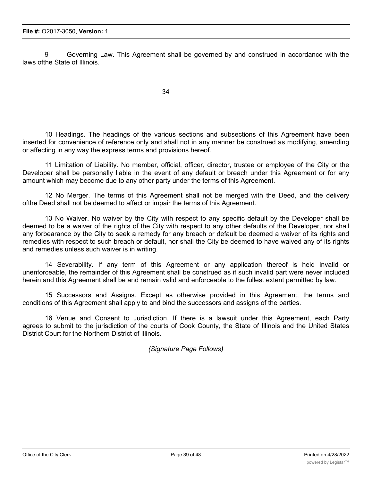9 Governing Law. This Agreement shall be governed by and construed in accordance with the laws ofthe State of Illinois.

10 Headings. The headings of the various sections and subsections of this Agreement have been inserted for convenience of reference only and shall not in any manner be construed as modifying, amending or affecting in any way the express terms and provisions hereof.

11 Limitation of Liability. No member, official, officer, director, trustee or employee of the City or the Developer shall be personally liable in the event of any default or breach under this Agreement or for any amount which may become due to any other party under the terms of this Agreement.

12 No Merger. The terms of this Agreement shall not be merged with the Deed, and the delivery ofthe Deed shall not be deemed to affect or impair the terms of this Agreement.

13 No Waiver. No waiver by the City with respect to any specific default by the Developer shall be deemed to be a waiver of the rights of the City with respect to any other defaults of the Developer, nor shall any forbearance by the City to seek a remedy for any breach or default be deemed a waiver of its rights and remedies with respect to such breach or default, nor shall the City be deemed to have waived any of its rights and remedies unless such waiver is in writing.

14 Severability. If any term of this Agreement or any application thereof is held invalid or unenforceable, the remainder of this Agreement shall be construed as if such invalid part were never included herein and this Agreement shall be and remain valid and enforceable to the fullest extent permitted by law.

15 Successors and Assigns. Except as otherwise provided in this Agreement, the terms and conditions of this Agreement shall apply to and bind the successors and assigns of the parties.

16 Venue and Consent to Jurisdiction. If there is a lawsuit under this Agreement, each Party agrees to submit to the jurisdiction of the courts of Cook County, the State of Illinois and the United States District Court for the Northern District of Illinois.

*(Signature Page Follows)*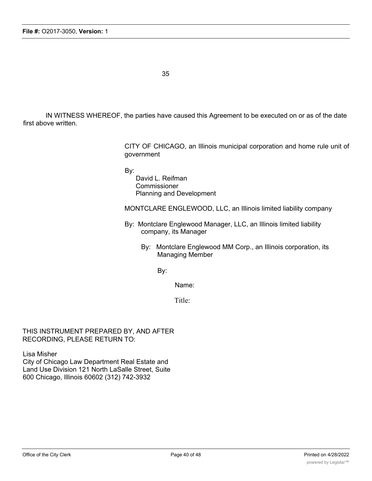IN WITNESS WHEREOF, the parties have caused this Agreement to be executed on or as of the date first above written.

> CITY OF CHICAGO, an Illinois municipal corporation and home rule unit of government

By:

David L. Reifman **Commissioner** Planning and Development

MONTCLARE ENGLEWOOD, LLC, an Illinois limited liability company

- By: Montclare Englewood Manager, LLC, an Illinois limited liability company, its Manager
	- By: Montclare Englewood MM Corp., an Illinois corporation, its Managing Member

By:

Name:

Title:

THIS INSTRUMENT PREPARED BY, AND AFTER RECORDING, PLEASE RETURN TO:

Lisa Misher City of Chicago Law Department Real Estate and Land Use Division 121 North LaSalle Street, Suite 600 Chicago, Illinois 60602 (312) 742-3932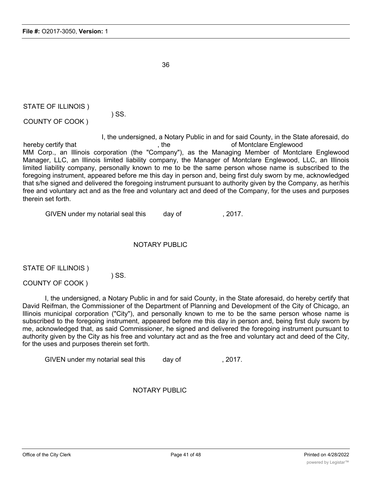STATE OF ILLINOIS )

COUNTY OF COOK )

I, the undersigned, a Notary Public in and for said County, in the State aforesaid, do hereby certify that the control of Montclare Englewood control of Montclare Englewood MM Corp., an Illinois corporation (the "Company"), as the Managing Member of Montclare Englewood Manager, LLC, an Illinois limited liability company, the Manager of Montclare Englewood, LLC, an Illinois limited liability company, personally known to me to be the same person whose name is subscribed to the foregoing instrument, appeared before me this day in person and, being first duly sworn by me, acknowledged that s/he signed and delivered the foregoing instrument pursuant to authority given by the Company, as her/his free and voluntary act and as the free and voluntary act and deed of the Company, for the uses and purposes therein set forth.

GIVEN under my notarial seal this day of 3017.

## NOTARY PUBLIC

STATE OF ILLINOIS )

) SS.

) SS.

COUNTY OF COOK )

I, the undersigned, a Notary Public in and for said County, in the State aforesaid, do hereby certify that David Reifman, the Commissioner of the Department of Planning and Development of the City of Chicago, an Illinois municipal corporation ("City"), and personally known to me to be the same person whose name is subscribed to the foregoing instrument, appeared before me this day in person and, being first duly sworn by me, acknowledged that, as said Commissioner, he signed and delivered the foregoing instrument pursuant to authority given by the City as his free and voluntary act and as the free and voluntary act and deed of the City, for the uses and purposes therein set forth.

GIVEN under my notarial seal this day of the metal of the part of the seal of the seal of the seal of the seal o

NOTARY PUBLIC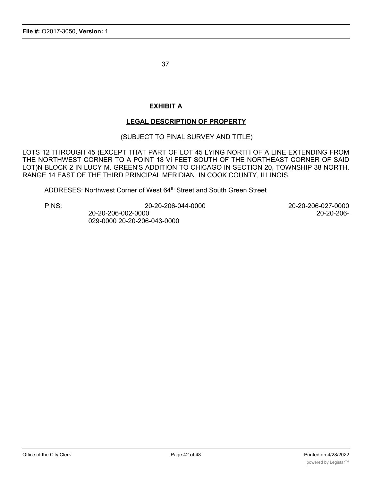## **EXHIBIT A**

## **LEGAL DESCRIPTION OF PROPERTY**

(SUBJECT TO FINAL SURVEY AND TITLE)

LOTS 12 THROUGH 45 (EXCEPT THAT PART OF LOT 45 LYING NORTH OF A LINE EXTENDING FROM THE NORTHWEST CORNER TO A POINT 18 Vi FEET SOUTH OF THE NORTHEAST CORNER OF SAID LOT)N BLOCK 2 IN LUCY M. GREEN'S ADDITION TO CHICAGO IN SECTION 20, TOWNSHIP 38 NORTH, RANGE 14 EAST OF THE THIRD PRINCIPAL MERIDIAN, IN COOK COUNTY, ILLINOIS.

ADDRESES: Northwest Corner of West 64<sup>th</sup> Street and South Green Street

PINS: 20-20-206-044-0000 20-20-206-027-0000 20-20-206-002-0000 20-20-206- 029-0000 20-20-206-043-0000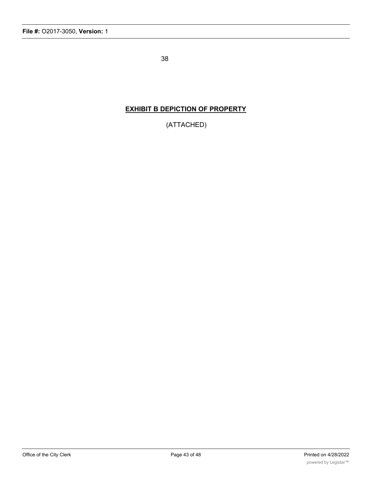## **EXHIBIT B DEPICTION OF PROPERTY**

(ATTACHED)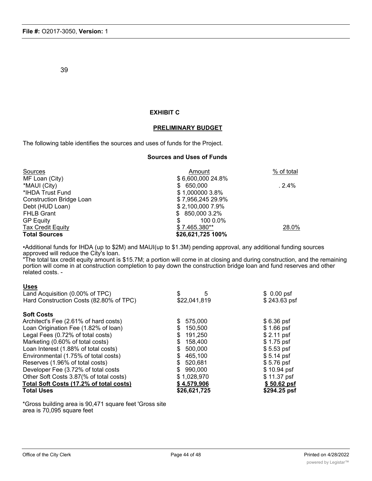#### **EXHIBIT C**

#### **PRELIMINARY BUDGET**

The following table identifies the sources and uses of funds for the Project.

#### **Sources and Uses of Funds**

| Sources                  | Amount            | % of total |
|--------------------------|-------------------|------------|
| MF Loan (City)           | \$6,600,000 24.8% |            |
| *MAUI (City)             | \$650,000         | .2.4%      |
| *IHDA Trust Fund         | \$1,000000 3.8%   |            |
| Construction Bridge Loan | \$7,956,245 29.9% |            |
| Debt (HUD Loan)          | \$2,100,000 7.9%  |            |
| <b>FHLB Grant</b>        | $$850,0003.2\%$   |            |
| <b>GP Equity</b>         | 100 0.0%          |            |
| <b>Tax Credit Equity</b> | $$7.465.380**$    | 28.0%      |
| <b>Total Sources</b>     | \$26,621,725 100% |            |

•Additional funds for IHDA (up to \$2M) and MAUI(up to \$1.3M) pending approval, any additional funding sources approved will reduce the City's loan.

"The total tax credit equity amount is \$15.7M; a portion will come in at closing and during construction, and the remaining portion will come in at construction completion to pay down the construction bridge loan and fund reserves and other related costs. -

#### **Uses**

| Land Acquisition (0.00% of TPC)         | 5              | $$0.00$ psf  |
|-----------------------------------------|----------------|--------------|
| Hard Construction Costs (82.80% of TPC) | \$22,041,819   | \$243.63 psf |
| <b>Soft Costs</b>                       |                |              |
| Architect's Fee (2.61% of hard costs)   | 575,000        | $$6.36$ psf  |
| Loan Origination Fee (1.82% of loan)    | 150,500        | $$1.66$ psf  |
| Legal Fees (0.72% of total costs)       | 191,250<br>S   | $$2.11$ psf  |
| Marketing (0.60% of total costs)        | 158,400<br>S   | $$1.75$ psf  |
| Loan Interest (1.88% of total costs)    | 500,000        | $$5.53$ psf  |
| Environmental (1.75% of total costs)    | 465,100        | $$5.14$ psf  |
| Reserves (1.96% of total costs)         | 520,681<br>\$. | $$5.76$ psf  |
| Developer Fee (3.72% of total costs     | 990.000<br>\$  | \$10.94 psf  |
| Other Soft Costs 3.87(% of total costs) | \$1,028,970    | \$11.37 psf  |
| Total Soft Costs (17.2% of total costs) | \$4,579,906    | \$50.62 psf  |
| <b>Total Uses</b>                       | \$26,621,725   | \$294.25 psf |

\*Gross building area is 90,471 square feet 'Gross site area is 70,095 square feet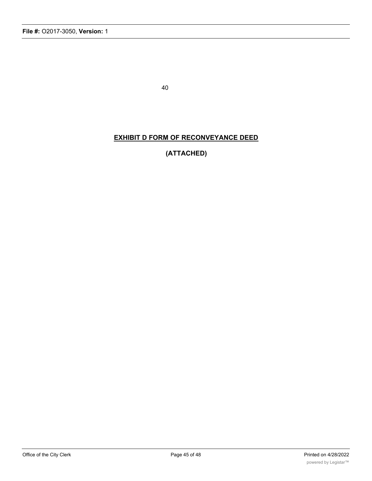# **EXHIBIT D FORM OF RECONVEYANCE DEED**

# **(ATTACHED)**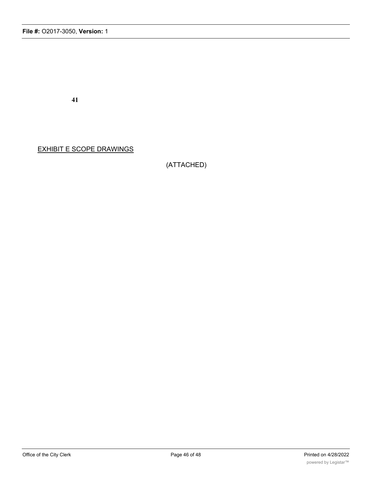EXHIBIT E SCOPE DRAWINGS

(ATTACHED)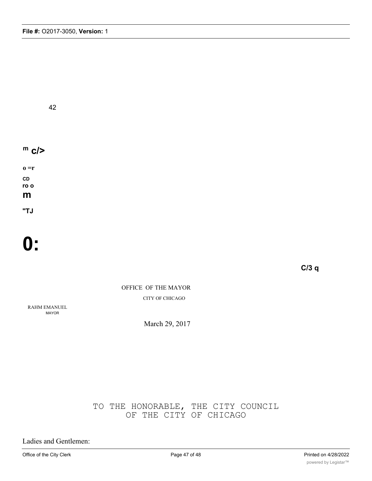# **m c/>**

**o =r CD ro o m**

**"TJ**

# **0:**

**C/3 q**

OFFICE OF THE MAYOR CITY OF CHICAGO

RAHM EMANUEL MAYOR

March 29, 2017

# TO THE HONORABLE, THE CITY COUNCIL OF THE CITY OF CHICAGO